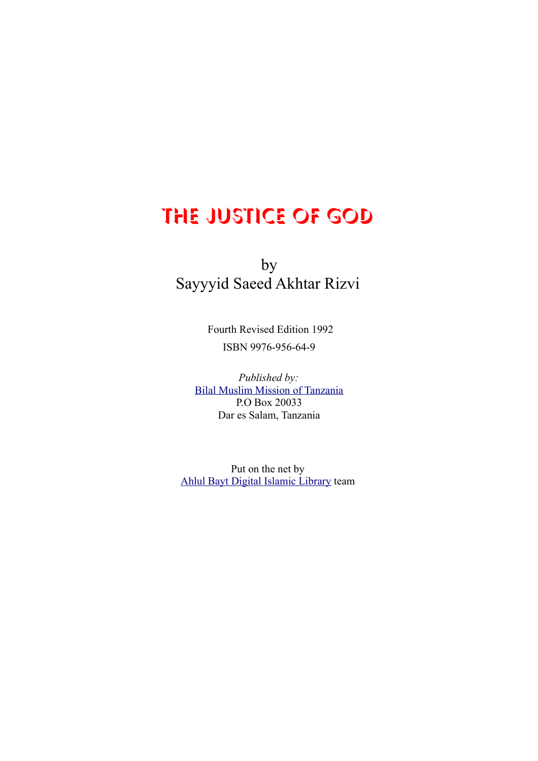## The Justice of God

by Sayyyid Saeed Akhtar Rizvi

> Fourth Revised Edition 1992 ISBN 9976-956-64-9

*Published by:* Bilal Muslim Mission of Tanzania P.O Box 20033 Dar es Salam, Tanzania

Put on the net by Ahlul Bayt Digital Islamic Library team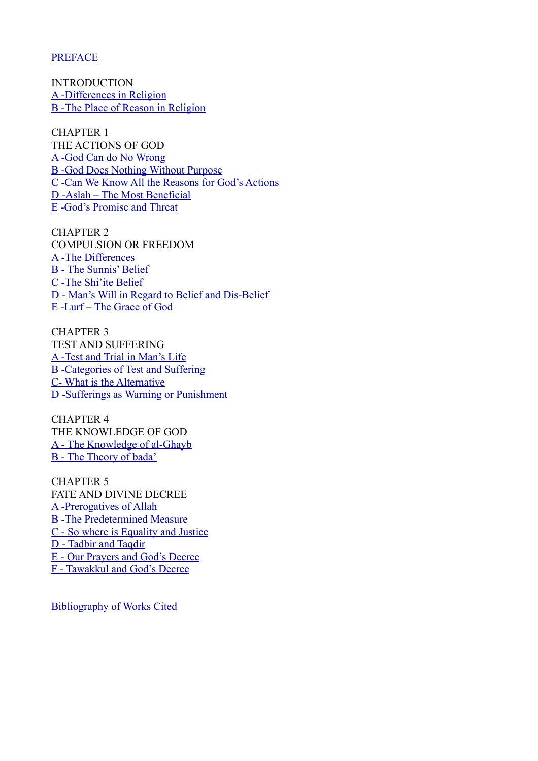#### [PREFACE](#page-2-0)

INTRODUCTION [A -Differences in Religion](#page-3-0) [B -The Place of Reason in Religion](#page-5-0)

CHAPTER 1 THE ACTIONS OF GOD [A -God Can do No Wrong](#page-7-0) [B -God Does Nothing Without Purpose](#page-8-0) C -Can We Know [All the Reasons for God's](#page-9-0) Actions [D -Aslah – The Most Beneficial](#page-10-0) [E -God's Promise and Threat](#page-11-0)

CHAPTER 2 COMPULSION OR FREEDOM [A -The Differences](#page-13-0) [B - The Sunnis' Belief](#page-14-0) [C -The Shi'ite Belief](#page-15-0) D - Man's [Will in Regard to Belief and Dis-Belief](#page-19-0) [E -Lurf – The Grace of God](#page-22-0)

CHAPTER 3 TEST AND SUFFERING [A -Test and Trial in Man's Life](#page-25-0) [B -Categories of Test and Suffering](#page-26-0) [C- What is the](#page-27-0) Alternative D -Sufferings as [Warning or Punishment](#page-29-0)

CHAPTER 4 THE KNOWLEDGE OF GOD [A - The Knowledge of al-Ghayb](#page-31-0) B - The [Theory of bada'](#page-33-0)

CHAPTER 5 FATE AND DIVINE DECREE [A -Prerogatives of Allah](#page-38-0) [B -The Predetermined Measure](#page-39-0) [C - So where is Equality and Justice](#page-40-0) [D - Tadbir and Taqdir](#page-41-0) [E - Our Prayers and God's Decree](#page-44-0) [F - Tawakkul and God's Decree](#page-45-0)

[Bibliography of Works Cited](#page-46-0)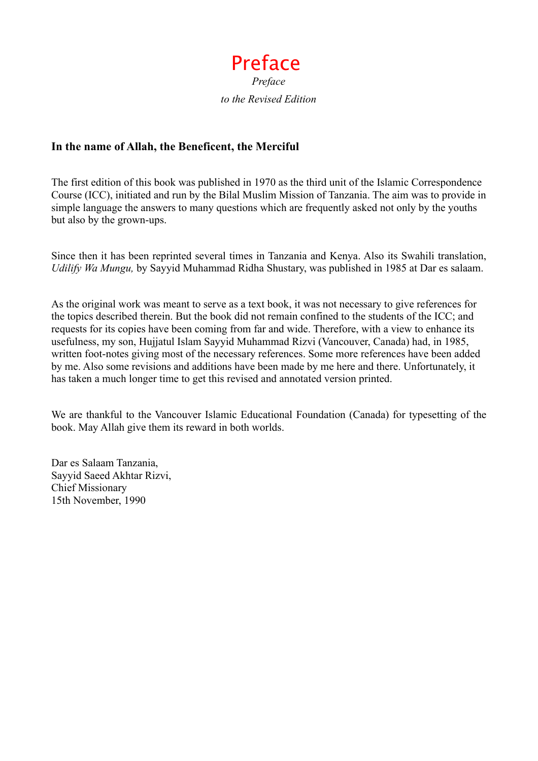<span id="page-2-0"></span>

## **In the name of Allah, the Beneficent, the Merciful**

The first edition of this book was published in 1970 as the third unit of the Islamic Correspondence Course (ICC), initiated and run by the Bilal Muslim Mission of Tanzania. The aim was to provide in simple language the answers to many questions which are frequently asked not only by the youths but also by the grown-ups.

Since then it has been reprinted several times in Tanzania and Kenya. Also its Swahili translation, *Udilify Wa Mungu,* by Sayyid Muhammad Ridha Shustary, was published in 1985 at Dar es salaam.

As the original work was meant to serve as a text book, it was not necessary to give references for the topics described therein. But the book did not remain confined to the students of the ICC; and requests for its copies have been coming from far and wide. Therefore, with a view to enhance its usefulness, my son, Hujjatul Islam Sayyid Muhammad Rizvi (Vancouver, Canada) had, in 1985, written foot-notes giving most of the necessary references. Some more references have been added by me. Also some revisions and additions have been made by me here and there. Unfortunately, it has taken a much longer time to get this revised and annotated version printed.

We are thankful to the Vancouver Islamic Educational Foundation (Canada) for typesetting of the book. May Allah give them its reward in both worlds.

Dar es Salaam Tanzania, Sayyid Saeed Akhtar Rizvi, Chief Missionary 15th November, 1990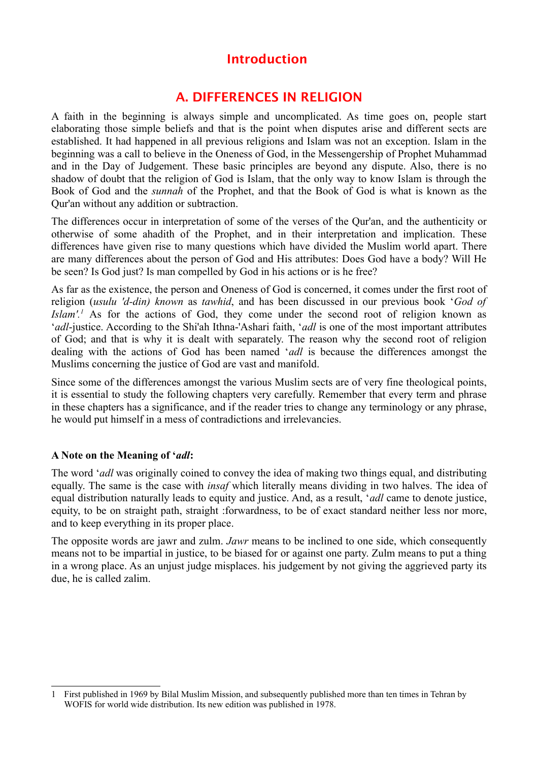## Introduction

## <span id="page-3-0"></span>A. DIFFERENCES IN RELIGION

A faith in the beginning is always simple and uncomplicated. As time goes on, people start elaborating those simple beliefs and that is the point when disputes arise and different sects are established. It had happened in all previous religions and Islam was not an exception. Islam in the beginning was a call to believe in the Oneness of God, in the Messengership of Prophet Muhammad and in the Day of Judgement. These basic principles are beyond any dispute. Also, there is no shadow of doubt that the religion of God is Islam, that the only way to know Islam is through the Book of God and the *sunnah* of the Prophet, and that the Book of God is what is known as the Qur'an without any addition or subtraction.

The differences occur in interpretation of some of the verses of the Qur'an, and the authenticity or otherwise of some ahadith of the Prophet, and in their interpretation and implication. These differences have given rise to many questions which have divided the Muslim world apart. There are many differences about the person of God and His attributes: Does God have a body? Will He be seen? Is God just? Is man compelled by God in his actions or is he free?

As far as the existence, the person and Oneness of God is concerned, it comes under the first root of religion (*usulu 'd-din) known* as *tawhid*, and has been discussed in our previous book '*God of Islam'. [1](#page-3-1)* As for the actions of God, they come under the second root of religion known as '*adl*-justice. According to the Shi'ah Ithna-'Ashari faith, '*adl* is one of the most important attributes of God; and that is why it is dealt with separately. The reason why the second root of religion dealing with the actions of God has been named '*adl* is because the differences amongst the Muslims concerning the justice of God are vast and manifold.

Since some of the differences amongst the various Muslim sects are of very fine theological points, it is essential to study the following chapters very carefully. Remember that every term and phrase in these chapters has a significance, and if the reader tries to change any terminology or any phrase, he would put himself in a mess of contradictions and irrelevancies.

### **A Note on the Meaning of '***adl***:**

The word '*adl* was originally coined to convey the idea of making two things equal, and distributing equally. The same is the case with *insaf* which literally means dividing in two halves. The idea of equal distribution naturally leads to equity and justice. And, as a result, '*adl* came to denote justice, equity, to be on straight path, straight :forwardness, to be of exact standard neither less nor more, and to keep everything in its proper place.

The opposite words are jawr and zulm. *Jawr* means to be inclined to one side, which consequently means not to be impartial in justice, to be biased for or against one party. Zulm means to put a thing in a wrong place. As an unjust judge misplaces. his judgement by not giving the aggrieved party its due, he is called zalim.

<span id="page-3-1"></span><sup>1</sup> First published in 1969 by Bilal Muslim Mission, and subsequently published more than ten times in Tehran by WOFIS for world wide distribution. Its new edition was published in 1978.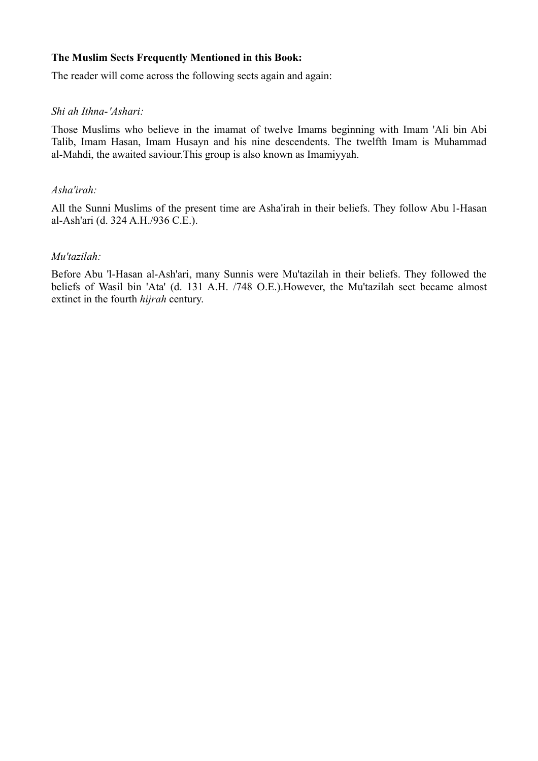#### **The Muslim Sects Frequently Mentioned in this Book:**

The reader will come across the following sects again and again:

#### *Shi ah Ithna-'Ashari:*

Those Muslims who believe in the imamat of twelve Imams beginning with Imam 'Ali bin Abi Talib, Imam Hasan, Imam Husayn and his nine descendents. The twelfth Imam is Muhammad al-Mahdi, the awaited saviour.This group is also known as Imamiyyah.

#### *Asha'irah:*

All the Sunni Muslims of the present time are Asha'irah in their beliefs. They follow Abu l-Hasan al-Ash'ari (d. 324 A.H./936 C.E.).

#### *Mu'tazilah:*

Before Abu 'l-Hasan al-Ash'ari, many Sunnis were Mu'tazilah in their beliefs. They followed the beliefs of Wasil bin 'Ata' (d. 131 A.H. /748 O.E.).However, the Mu'tazilah sect became almost extinct in the fourth *hijrah* century.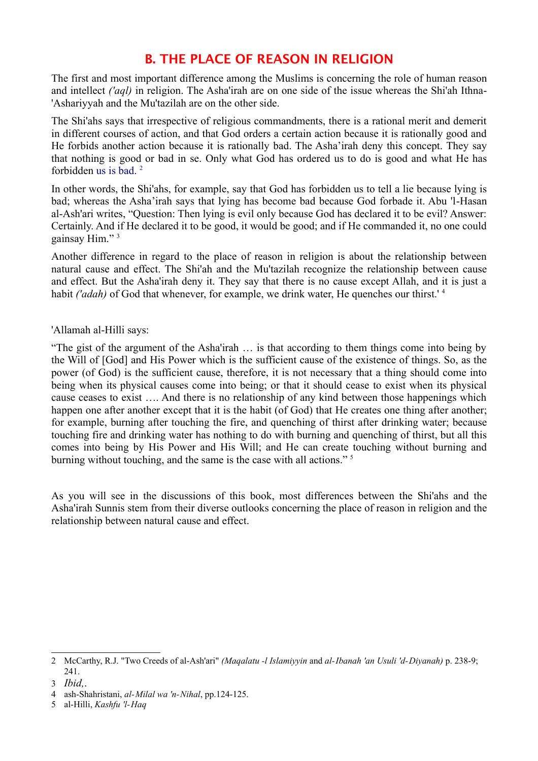## <span id="page-5-0"></span>B. THE PLACE OF REASON IN RELIGION

The first and most important difference among the Muslims is concerning the role of human reason and intellect *('aql)* in religion. The Asha'irah are on one side of the issue whereas the Shi'ah Ithna- 'Ashariyyah and the Mu'tazilah are on the other side.

The Shi'ahs says that irrespective of religious commandments, there is a rational merit and demerit in different courses of action, and that God orders a certain action because it is rationally good and He forbids another action because it is rationally bad. The Asha'irah deny this concept. They say that nothing is good or bad in se. Only what God has ordered us to do is good and what He has forbidden us is bad $<sup>2</sup>$  $<sup>2</sup>$  $<sup>2</sup>$ </sup>

In other words, the Shi'ahs, for example, say that God has forbidden us to tell a lie because lying is bad; whereas the Asha'irah says that lying has become bad because God forbade it. Abu 'l-Hasan al-Ash'ari writes, "Question: Then lying is evil only because God has declared it to be evil? Answer: Certainly. And if He declared it to be good, it would be good; and if He commanded it, no one could gainsay Him."<sup>[3](#page-5-2)</sup>

Another difference in regard to the place of reason in religion is about the relationship between natural cause and effect. The Shi'ah and the Mu'tazilah recognize the relationship between cause and effect. But the Asha'irah deny it. They say that there is no cause except Allah, and it is just a habit *('adah*) of God that whenever, for example, we drink water. He quenches our thirst.'<sup>[4](#page-5-3)</sup>

'Allamah al-Hilli says:

"The gist of the argument of the Asha'irah … is that according to them things come into being by the Will of [God] and His Power which is the sufficient cause of the existence of things. So, as the power (of God) is the sufficient cause, therefore, it is not necessary that a thing should come into being when its physical causes come into being; or that it should cease to exist when its physical cause ceases to exist …. And there is no relationship of any kind between those happenings which happen one after another except that it is the habit (of God) that He creates one thing after another; for example, burning after touching the fire, and quenching of thirst after drinking water; because touching fire and drinking water has nothing to do with burning and quenching of thirst, but all this comes into being by His Power and His Will; and He can create touching without burning and burning without touching, and the same is the case with all actions."<sup>[5](#page-5-4)</sup>

As you will see in the discussions of this book, most differences between the Shi'ahs and the Asha'irah Sunnis stem from their diverse outlooks concerning the place of reason in religion and the relationship between natural cause and effect.

<span id="page-5-1"></span><sup>2</sup> McCarthy, R.J. "Two Creeds of al-Ash'ari" *(Maqalatu -l Islamiyyin* and *al-Ibanah 'an Usuli 'd-Diyanah)* p. 238-9; 241.

<span id="page-5-2"></span><sup>3</sup> *Ibid,*.

<span id="page-5-3"></span><sup>4</sup> ash-Shahristani, *al-Milal wa 'n-Nihal*, pp.124-125.

<span id="page-5-4"></span><sup>5</sup> al-Hilli, *Kashfu 'l-Haq*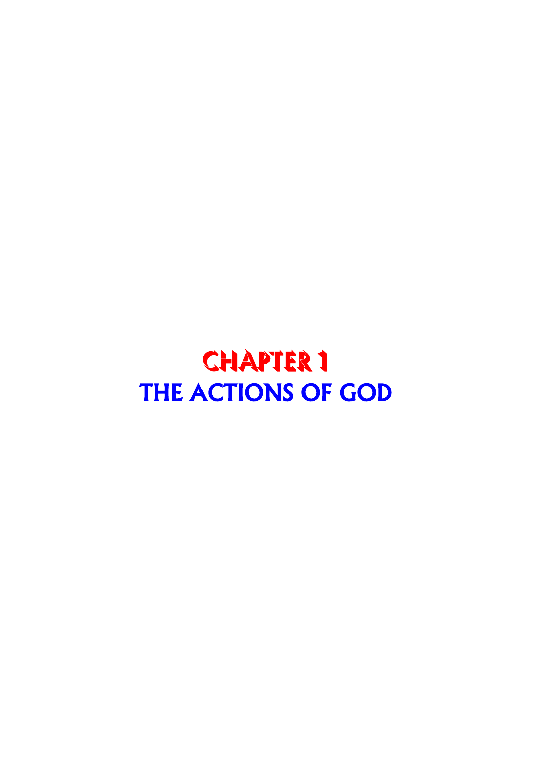# Chapter 1 THE ACTIONS OF GOD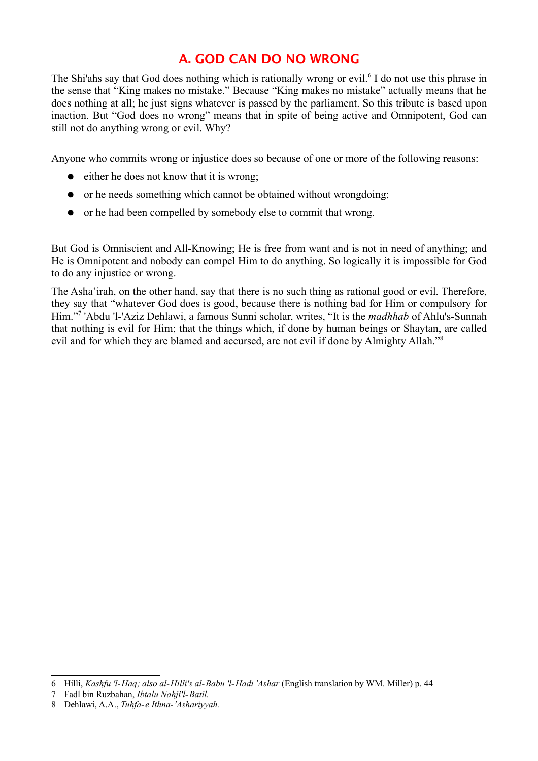## <span id="page-7-0"></span>A. GOD CAN DO NO WRONG

The Shi'ahs say that God does nothing which is rationally wrong or evil.<sup>[6](#page-7-1)</sup> I do not use this phrase in the sense that "King makes no mistake." Because "King makes no mistake" actually means that he does nothing at all; he just signs whatever is passed by the parliament. So this tribute is based upon inaction. But "God does no wrong" means that in spite of being active and Omnipotent, God can still not do anything wrong or evil. Why?

Anyone who commits wrong or injustice does so because of one or more of the following reasons:

- either he does not know that it is wrong;
- or he needs something which cannot be obtained without wrongdoing;
- or he had been compelled by somebody else to commit that wrong.

But God is Omniscient and All-Knowing; He is free from want and is not in need of anything; and He is Omnipotent and nobody can compel Him to do anything. So logically it is impossible for God to do any injustice or wrong.

The Asha'irah, on the other hand, say that there is no such thing as rational good or evil. Therefore, they say that "whatever God does is good, because there is nothing bad for Him or compulsory for Him."[7](#page-7-2) 'Abdu 'l-'Aziz Dehlawi, a famous Sunni scholar, writes, "It is the *madhhab* of Ahlu's-Sunnah that nothing is evil for Him; that the things which, if done by human beings or Shaytan, are called evil and for which they are blamed and accursed, are not evil if done by Almighty Allah."[8](#page-7-3)

<span id="page-7-1"></span><sup>6</sup> Hilli, *Kashfu 'l-Haq; also al-Hilli's al-Babu 'l-Hadi 'Ashar* (English translation by WM. Miller) p. 44

<span id="page-7-2"></span><sup>7</sup> Fadl bin Ruzbahan, *Ibtalu Nahji'l-Batil.*

<span id="page-7-3"></span><sup>8</sup> Dehlawi, A.A., *Tuhfa-e Ithna-'Ashariyyah.*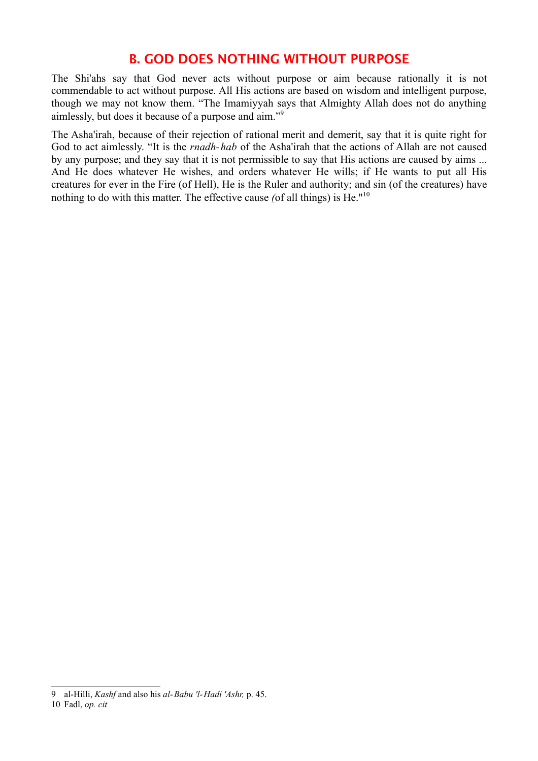## <span id="page-8-0"></span>B. GOD DOES NOTHING WITHOUT PURPOSE

The Shi'ahs say that God never acts without purpose or aim because rationally it is not commendable to act without purpose. All His actions are based on wisdom and intelligent purpose, though we may not know them. "The Imamiyyah says that Almighty Allah does not do anything aimlessly, but does it because of a purpose and aim."[9](#page-8-1)

The Asha'irah, because of their rejection of rational merit and demerit, say that it is quite right for God to act aimlessly. "It is the *rnadh-hab* of the Asha'irah that the actions of Allah are not caused by any purpose; and they say that it is not permissible to say that His actions are caused by aims ... And He does whatever He wishes, and orders whatever He wills; if He wants to put all His creatures for ever in the Fire (of Hell), He is the Ruler and authority; and sin (of the creatures) have nothing to do with this matter. The effective cause *(*of all things) is He."[10](#page-8-2)

<span id="page-8-1"></span><sup>9</sup> al-Hilli, *Kashf* and also his *al-Babu 'l-Hadi 'Ashr,* p. 45.

<span id="page-8-2"></span><sup>10</sup> Fadl, *op. cit*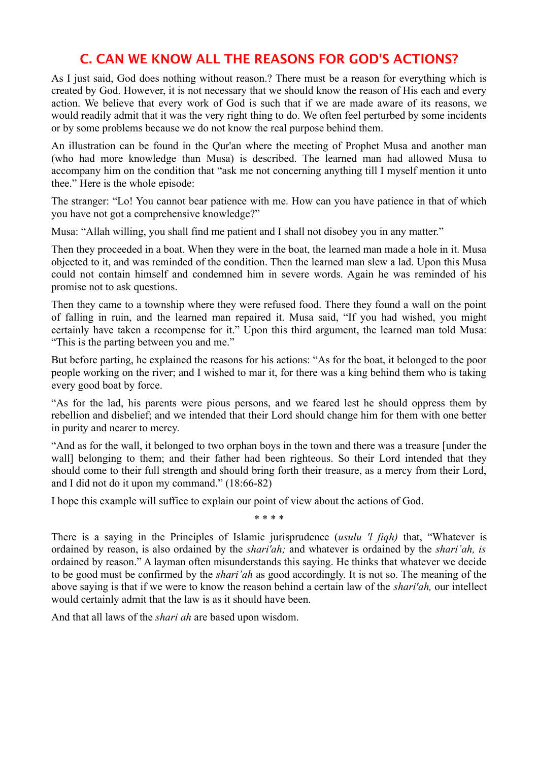## <span id="page-9-0"></span>C. CAN WE KNOW ALL THE REASONS FOR GOD'S ACTIONS?

As I just said, God does nothing without reason.? There must be a reason for everything which is created by God. However, it is not necessary that we should know the reason of His each and every action. We believe that every work of God is such that if we are made aware of its reasons, we would readily admit that it was the very right thing to do. We often feel perturbed by some incidents or by some problems because we do not know the real purpose behind them.

An illustration can be found in the Qur'an where the meeting of Prophet Musa and another man (who had more knowledge than Musa) is described. The learned man had allowed Musa to accompany him on the condition that "ask me not concerning anything till I myself mention it unto thee." Here is the whole episode:

The stranger: "Lo! You cannot bear patience with me. How can you have patience in that of which you have not got a comprehensive knowledge?"

Musa: "Allah willing, you shall find me patient and I shall not disobey you in any matter."

Then they proceeded in a boat. When they were in the boat, the learned man made a hole in it. Musa objected to it, and was reminded of the condition. Then the learned man slew a lad. Upon this Musa could not contain himself and condemned him in severe words. Again he was reminded of his promise not to ask questions.

Then they came to a township where they were refused food. There they found a wall on the point of falling in ruin, and the learned man repaired it. Musa said, "If you had wished, you might certainly have taken a recompense for it." Upon this third argument, the learned man told Musa: "This is the parting between you and me."

But before parting, he explained the reasons for his actions: "As for the boat, it belonged to the poor people working on the river; and I wished to mar it, for there was a king behind them who is taking every good boat by force.

"As for the lad, his parents were pious persons, and we feared lest he should oppress them by rebellion and disbelief; and we intended that their Lord should change him for them with one better in purity and nearer to mercy.

"And as for the wall, it belonged to two orphan boys in the town and there was a treasure [under the wall] belonging to them; and their father had been righteous. So their Lord intended that they should come to their full strength and should bring forth their treasure, as a mercy from their Lord, and I did not do it upon my command." (18:66-82)

I hope this example will suffice to explain our point of view about the actions of God.

\* \* \* \*

There is a saying in the Principles of Islamic jurisprudence (*usulu 'l fiqh)* that, "Whatever is ordained by reason, is also ordained by the *shari'ah;* and whatever is ordained by the *shari'ah, is* ordained by reason." A layman often misunderstands this saying. He thinks that whatever we decide to be good must be confirmed by the *shari'ah* as good accordingly. It is not so. The meaning of the above saying is that if we were to know the reason behind a certain law of the *shari'ah,* our intellect would certainly admit that the law is as it should have been.

And that all laws of the *shari ah* are based upon wisdom.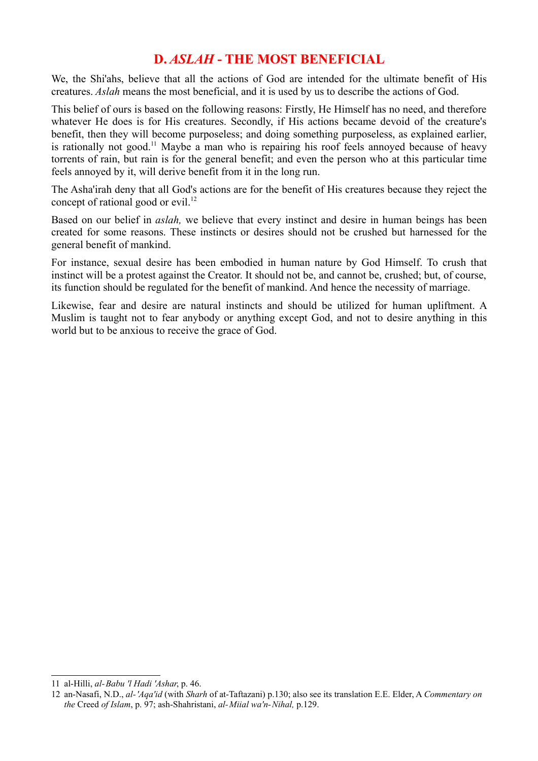## <span id="page-10-0"></span>**D.** *ASLAH* **- THE MOST BENEFICIAL**

We, the Shi'ahs, believe that all the actions of God are intended for the ultimate benefit of His creatures. *Aslah* means the most beneficial, and it is used by us to describe the actions of God.

This belief of ours is based on the following reasons: Firstly, He Himself has no need, and therefore whatever He does is for His creatures. Secondly, if His actions became devoid of the creature's benefit, then they will become purposeless; and doing something purposeless, as explained earlier, is rationally not good.[11](#page-10-1) Maybe a man who is repairing his roof feels annoyed because of heavy torrents of rain, but rain is for the general benefit; and even the person who at this particular time feels annoyed by it, will derive benefit from it in the long run.

The Asha'irah deny that all God's actions are for the benefit of His creatures because they reject the concept of rational good or evil.<sup>[12](#page-10-2)</sup>

Based on our belief in *aslah,* we believe that every instinct and desire in human beings has been created for some reasons. These instincts or desires should not be crushed but harnessed for the general benefit of mankind.

For instance, sexual desire has been embodied in human nature by God Himself. To crush that instinct will be a protest against the Creator. It should not be, and cannot be, crushed; but, of course, its function should be regulated for the benefit of mankind. And hence the necessity of marriage.

Likewise, fear and desire are natural instincts and should be utilized for human upliftment. A Muslim is taught not to fear anybody or anything except God, and not to desire anything in this world but to be anxious to receive the grace of God.

<span id="page-10-1"></span><sup>11</sup> al-Hilli, *al-Babu 'l Hadi 'Ashar*, p. 46.

<span id="page-10-2"></span><sup>12</sup> an-Nasafi, N.D., *al-'Aqa'id* (with *Sharh* of at-Taftazani) p.130; also see its translation E.E. Elder, A *Commentary on the* Creed *of Islam*, p. 97; ash-Shahristani, *al-Miial wa'n-Nihal,* p.129.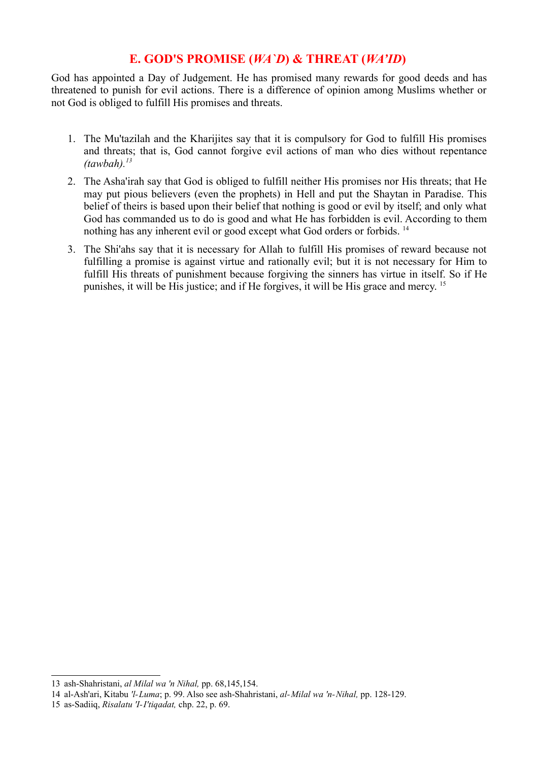## <span id="page-11-0"></span>**E. GOD'S PROMISE (***WA`D***) & THREAT (***WA'ID***)**

God has appointed a Day of Judgement. He has promised many rewards for good deeds and has threatened to punish for evil actions. There is a difference of opinion among Muslims whether or not God is obliged to fulfill His promises and threats.

- 1. The Mu'tazilah and the Kharijites say that it is compulsory for God to fulfill His promises and threats; that is, God cannot forgive evil actions of man who dies without repentance *(tawbah).[13](#page-11-1)*
- 2. The Asha'irah say that God is obliged to fulfill neither His promises nor His threats; that He may put pious believers (even the prophets) in Hell and put the Shaytan in Paradise. This belief of theirs is based upon their belief that nothing is good or evil by itself; and only what God has commanded us to do is good and what He has forbidden is evil. According to them nothing has any inherent evil or good except what God orders or forbids.<sup>[14](#page-11-2)</sup>
- 3. The Shi'ahs say that it is necessary for Allah to fulfill His promises of reward because not fulfilling a promise is against virtue and rationally evil; but it is not necessary for Him to fulfill His threats of punishment because forgiving the sinners has virtue in itself. So if He punishes, it will be His justice; and if He forgives, it will be His grace and mercy. [15](#page-11-3)

<span id="page-11-1"></span><sup>13</sup> ash-Shahristani, *al Milal wa 'n Nihal,* pp. 68,145,154.

<span id="page-11-2"></span><sup>14</sup> al-Ash'ari, Kitabu *'l-Luma*; p. 99. Also see ash-Shahristani, *al-Milal wa 'n-Nihal,* pp. 128-129.

<span id="page-11-3"></span><sup>15</sup> as-Sadiiq, *Risalatu 'I-I'tiqadat,* chp. 22, p. 69.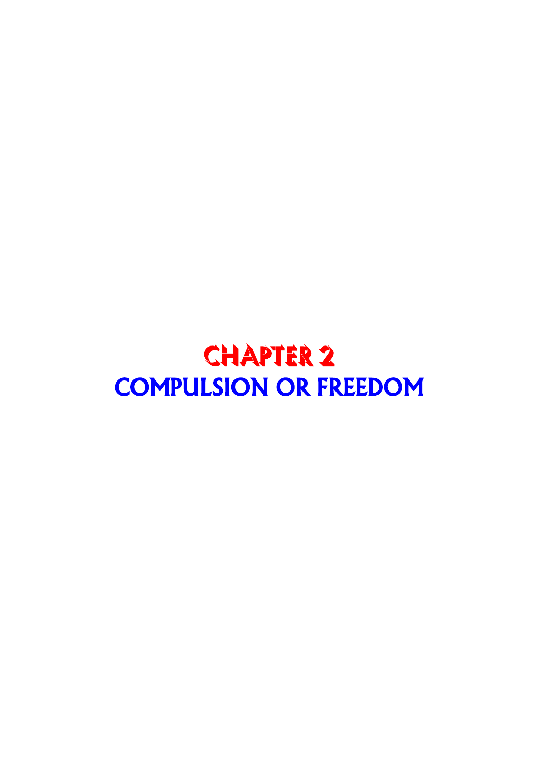## Chapter 2 COMPULSION OR FREEDOM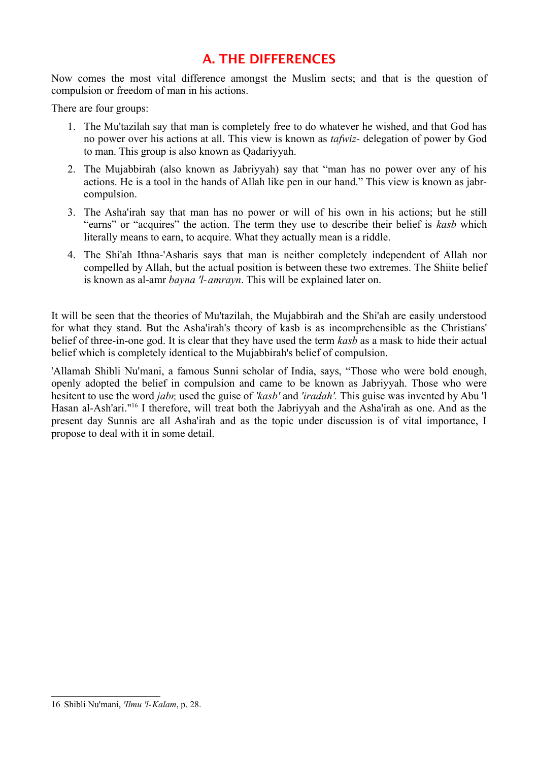## <span id="page-13-0"></span>A. THE DIFFERENCES

Now comes the most vital difference amongst the Muslim sects; and that is the question of compulsion or freedom of man in his actions.

There are four groups:

- 1. The Mu'tazilah say that man is completely free to do whatever he wished, and that God has no power over his actions at all. This view is known as *tafwiz-* delegation of power by God to man. This group is also known as Qadariyyah.
- 2. The Mujabbirah (also known as Jabriyyah) say that "man has no power over any of his actions. He is a tool in the hands of Allah like pen in our hand." This view is known as jabrcompulsion.
- 3. The Asha'irah say that man has no power or will of his own in his actions; but he still "earns" or "acquires" the action. The term they use to describe their belief is *kasb* which literally means to earn, to acquire. What they actually mean is a riddle.
- 4. The Shi'ah Ithna-'Asharis says that man is neither completely independent of Allah nor compelled by Allah, but the actual position is between these two extremes. The Shiite belief is known as al-amr *bayna 'l-amrayn*. This will be explained later on.

It will be seen that the theories of Mu'tazilah, the Mujabbirah and the Shi'ah are easily understood for what they stand. But the Asha'irah's theory of kasb is as incomprehensible as the Christians' belief of three-in-one god. It is clear that they have used the term *kasb* as a mask to hide their actual belief which is completely identical to the Mujabbirah's belief of compulsion.

'Allamah Shibli Nu'mani, a famous Sunni scholar of India, says, "Those who were bold enough, openly adopted the belief in compulsion and came to be known as Jabriyyah. Those who were hesitent to use the word *jabr,* used the guise of *'kasb'* and *'iradah'.* This guise was invented by Abu 'l Hasan al-Ash'ari."<sup>[16](#page-13-1)</sup> I therefore, will treat both the Jabriyyah and the Asha'irah as one. And as the present day Sunnis are all Asha'irah and as the topic under discussion is of vital importance, I propose to deal with it in some detail.

<span id="page-13-1"></span><sup>16</sup> Shibli Nu'mani, *'Ilmu 'l-Kalam*, p. 28.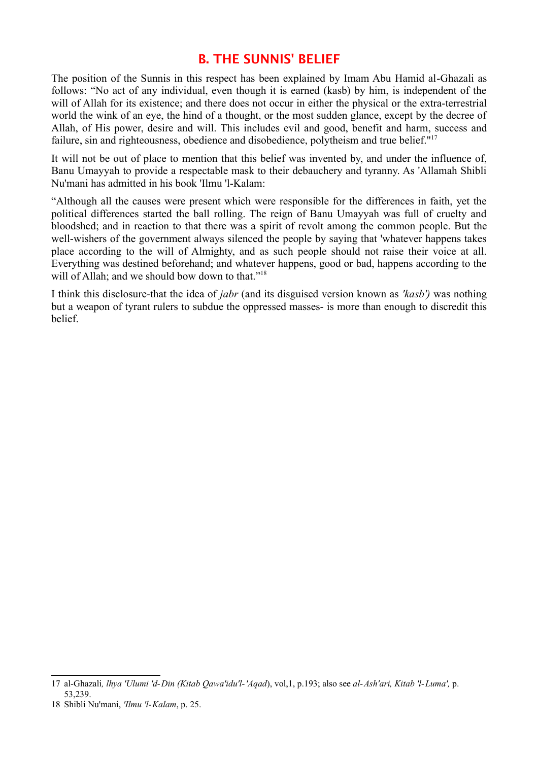## <span id="page-14-0"></span>B. THE SUNNIS' BELIEF

The position of the Sunnis in this respect has been explained by Imam Abu Hamid al-Ghazali as follows: "No act of any individual, even though it is earned (kasb) by him, is independent of the will of Allah for its existence; and there does not occur in either the physical or the extra-terrestrial world the wink of an eye, the hind of a thought, or the most sudden glance, except by the decree of Allah, of His power, desire and will. This includes evil and good, benefit and harm, success and failure, sin and righteousness, obedience and disobedience, polytheism and true belief."<sup>[17](#page-14-1)</sup>

It will not be out of place to mention that this belief was invented by, and under the influence of, Banu Umayyah to provide a respectable mask to their debauchery and tyranny. As 'Allamah Shibli Nu'mani has admitted in his book 'Ilmu 'l-Kalam:

"Although all the causes were present which were responsible for the differences in faith, yet the political differences started the ball rolling. The reign of Banu Umayyah was full of cruelty and bloodshed; and in reaction to that there was a spirit of revolt among the common people. But the well-wishers of the government always silenced the people by saying that 'whatever happens takes place according to the will of Almighty, and as such people should not raise their voice at all. Everything was destined beforehand; and whatever happens, good or bad, happens according to the will of Allah; and we should bow down to that."<sup>[18](#page-14-2)</sup>

I think this disclosure-that the idea of *jabr* (and its disguised version known as *'kasb')* was nothing but a weapon of tyrant rulers to subdue the oppressed masses- is more than enough to discredit this belief.

<span id="page-14-1"></span><sup>17</sup> al-Ghazali*, lhya 'Ulumi 'd-Din (Kitab Qawa'idu'l-'Aqad*), vol,1, p.193; also see *al-Ash'ari, Kitab 'l-Luma',* p. 53,239.

<span id="page-14-2"></span><sup>18</sup> Shibli Nu'mani, *'Ilmu 'l-Kalam*, p. 25.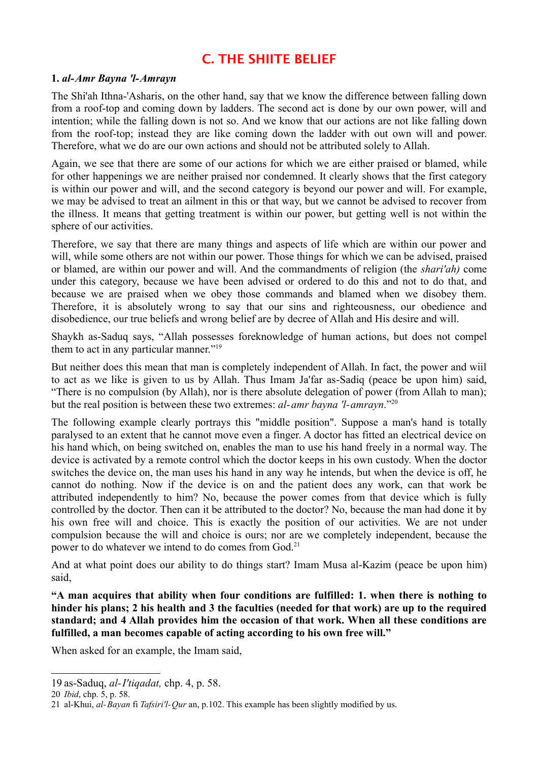## <span id="page-15-0"></span>C. THE SHIITE BELIEF

#### **1.** *al-Amr Bayna 'l-Amrayn*

The Shi'ah Ithna-'Asharis, on the other hand, say that we know the difference between falling down from a roof-top and coming down by ladders. The second act is done by our own power, will and intention; while the falling down is not so. And we know that our actions are not like falling down from the roof-top; instead they are like coming down the ladder with out own will and power. Therefore, what we do are our own actions and should not be attributed solely to Allah.

Again, we see that there are some of our actions for which we are either praised or blamed, while for other happenings we are neither praised nor condemned. It clearly shows that the first category is within our power and will, and the second category is beyond our power and will. For example, we may be advised to treat an ailment in this or that way, but we cannot be advised to recover from the illness. It means that getting treatment is within our power, but getting well is not within the sphere of our activities.

Therefore, we say that there are many things and aspects of life which are within our power and will, while some others are not within our power. Those things for which we can be advised, praised or blamed, are within our power and will. And the commandments of religion (the *shari'ah)* come under this category, because we have been advised or ordered to do this and not to do that, and because we are praised when we obey those commands and blamed when we disobey them. Therefore, it is absolutely wrong to say that our sins and righteousness, our obedience and disobedience, our true beliefs and wrong belief are by decree of Allah and His desire and will.

Shaykh as-Saduq says, "Allah possesses foreknowledge of human actions, but does not compel them to act in any particular manner."[19](#page-15-1)

But neither does this mean that man is completely independent of Allah. In fact, the power and wiil to act as we like is given to us by Allah. Thus Imam Ja'far as-Sadiq (peace be upon him) said, "There is no compulsion (by Allah), nor is there absolute delegation of power (from Allah to man); but the real position is between these two extremes: *al-amr bayna 'l-amrayn*."[20](#page-15-2)

The following example clearly portrays this "middle position". Suppose a man's hand is totally paralysed to an extent that he cannot move even a finger. A doctor has fitted an electrical device on his hand which, on being switched on, enables the man to use his hand freely in a normal way. The device is activated by a remote control which the doctor keeps in his own custody. When the doctor switches the device on, the man uses his hand in any way he intends, but when the device is off, he cannot do nothing. Now if the device is on and the patient does any work, can that work be attributed independently to him? No, because the power comes from that device which is fully controlled by the doctor. Then can it be attributed to the doctor? No, because the man had done it by his own free will and choice. This is exactly the position of our activities. We are not under compulsion because the will and choice is ours; nor are we completely independent, because the power to do whatever we intend to do comes from God.<sup>[21](#page-15-3)</sup>

And at what point does our ability to do things start? Imam Musa al-Kazim (peace be upon him) said,

**"A man acquires that ability when four conditions are fulfilled: 1. when there is nothing to** hinder his plans; 2 his health and 3 the faculties (needed for that work) are up to the required **standard; and 4 Allah provides him the occasion of that work. When all these conditions are fulfilled, a man becomes capable of acting according to his own free will."**

When asked for an example, the Imam said,

<span id="page-15-1"></span><sup>19</sup> as-Saduq, *al-I'tiqadat,* chp. 4, p. 58.

<span id="page-15-2"></span><sup>20</sup> *Ibid*, chp. 5, p. 58.

<span id="page-15-3"></span><sup>21</sup> al-Khui, *al-Bayan* fi *Tafsiri'l-Qur* an, p.102. This example has been slightly modified by us.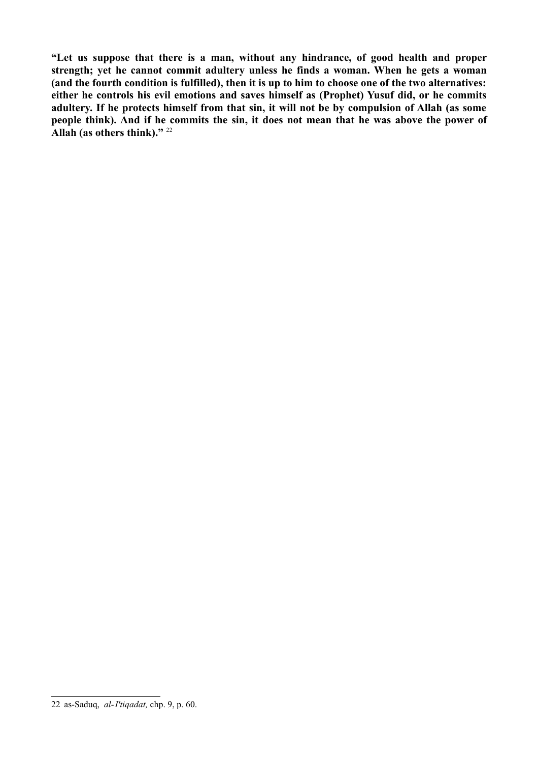**"Let us suppose that there is a man, without any hindrance, of good health and proper strength; yet he cannot commit adultery unless he finds a woman. When he gets a woman (and the fourth condition is fulfilled), then it is up to him to choose one of the two alternatives: either he controls his evil emotions and saves himself as (Prophet) Yusuf did, or he commits adultery. If he protects himself from that sin, it will not be by compulsion of Allah (as some people think). And if he commits the sin, it does not mean that he was above the power of Allah (as others think)."** [22](#page-16-0)

<span id="page-16-0"></span><sup>22</sup> as-Saduq, *al-I'tiqadat,* chp. 9, p. 60.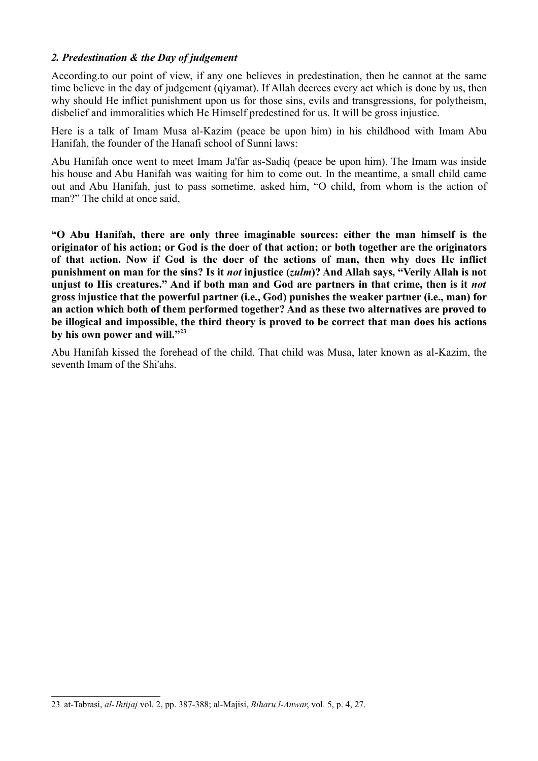#### *2. Predestination & the Day of judgement*

According.to our point of view, if any one believes in predestination, then he cannot at the same time believe in the day of judgement (qiyamat). If Allah decrees every act which is done by us, then why should He inflict punishment upon us for those sins, evils and transgressions, for polytheism, disbelief and immoralities which He Himself predestined for us. It will be gross injustice.

Here is a talk of Imam Musa al-Kazim (peace be upon him) in his childhood with Imam Abu Hanifah, the founder of the Hanafi school of Sunni laws:

Abu Hanifah once went to meet Imam Ja'far as-Sadiq (peace be upon him). The Imam was inside his house and Abu Hanifah was waiting for him to come out. In the meantime, a small child came out and Abu Hanifah, just to pass sometime, asked him, "O child, from whom is the action of man?" The child at once said,

**"O Abu Hanifah, there are only three imaginable sources: either the man himself is the originator of his action; or God is the doer of that action; or both together are the originators of that action. Now if God is the doer of the actions of man, then why does He inflict** punishment on man for the sins? Is it *not* injustice (*zulm*)? And Allah says, "Verily Allah is not unjust to His creatures." And if both man and God are partners in that crime, then is it not **gross injustice that the powerful partner (i.e., God) punishes the weaker partner (i.e., man) for an action which both of them performed together? And as these two alternatives are proved to be illogical and impossible, the third theory is proved to be correct that man does his actions by his own power and will."[23](#page-17-0)**

Abu Hanifah kissed the forehead of the child. That child was Musa, later known as al-Kazim, the seventh Imam of the Shi'ahs.

<span id="page-17-0"></span><sup>23</sup> at-Tabrasi, *al-Ihtijaj* vol. 2, pp. 387-388; al-Majisi, *Biharu l-Anwar*, vol. 5, p. 4, 27.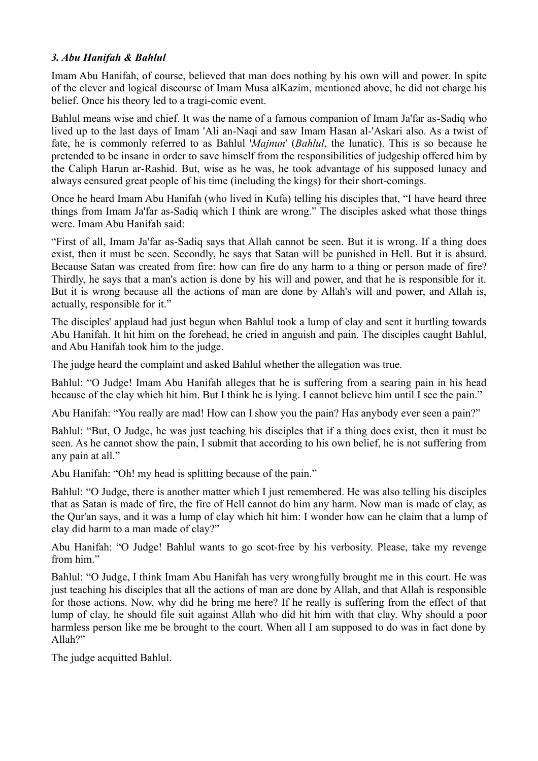### *3. Abu Hanifah & Bahlul*

Imam Abu Hanifah, of course, believed that man does nothing by his own will and power. In spite of the clever and logical discourse of Imam Musa alKazim, mentioned above, he did not charge his belief. Once his theory led to a tragi-comic event.

Bahlul means wise and chief. It was the name of a famous companion of Imam Ja'far as-Sadiq who lived up to the last days of Imam 'Ali an-Naqi and saw Imam Hasan al-'Askari also. As a twist of fate, he is commonly referred to as Bahlul '*Majnun*' (*Bahlul*, the lunatic). This is so because he pretended to be insane in order to save himself from the responsibilities of judgeship offered him by the Caliph Harun ar-Rashid. But, wise as he was, he took advantage of his supposed lunacy and always censured great people of his time (including the kings) for their short-comings.

Once he heard Imam Abu Hanifah (who lived in Kufa) telling his disciples that, "I have heard three things from Imam Ja'far as-Sadiq which I think are wrong." The disciples asked what those things were. Imam Abu Hanifah said:

"First of all, Imam Ja'far as-Sadiq says that Allah cannot be seen. But it is wrong. If a thing does exist, then it must be seen. Secondly, he says that Satan will be punished in Hell. But it is absurd. Because Satan was created from fire: how can fire do any harm to a thing or person made of fire? Thirdly, he says that a man's action is done by his will and power, and that he is responsible for it. But it is wrong because all the actions of man are done by Allah's will and power, and Allah is, actually, responsible for it."

The disciples' applaud had just begun when Bahlul took a lump of clay and sent it hurtling towards Abu Hanifah. It hit him on the forehead, he cried in anguish and pain. The disciples caught Bahlul, and Abu Hanifah took him to the judge.

The judge heard the complaint and asked Bahlul whether the allegation was true.

Bahlul: "O Judge! Imam Abu Hanifah alleges that he is suffering from a searing pain in his head because of the clay which hit him. But I think he is lying. I cannot believe him until I see the pain."

Abu Hanifah: "You really are mad! How can I show you the pain? Has anybody ever seen a pain?"

Bahlul: "But, O Judge, he was just teaching his disciples that if a thing does exist, then it must be seen. As he cannot show the pain, I submit that according to his own belief, he is not suffering from any pain at all."

Abu Hanifah: "Oh! my head is splitting because of the pain."

Bahlul: "O Judge, there is another matter which I just remembered. He was also telling his disciples that as Satan is made of fire, the fire of Hell cannot do him any harm. Now man is made of clay, as the Qur'an says, and it was a lump of clay which hit him: I wonder how can he claim that a lump of clay did harm to a man made of clay?"

Abu Hanifah: "O Judge! Bahlul wants to go scot-free by his verbosity. Please, take my revenge from him."

Bahlul: "O Judge, I think Imam Abu Hanifah has very wrongfully brought me in this court. He was just teaching his disciples that all the actions of man are done by Allah, and that Allah is responsible for those actions. Now, why did he bring me here? If he really is suffering from the effect of that lump of clay, he should file suit against Allah who did hit him with that clay. Why should a poor harmless person like me be brought to the court. When all I am supposed to do was in fact done by Allah?"

The judge acquitted Bahlul.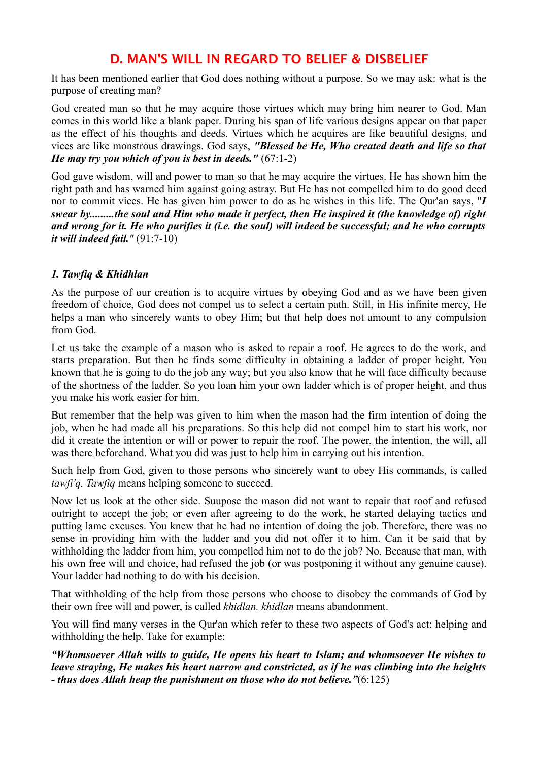## <span id="page-19-0"></span>D. MAN'S WILL IN REGARD TO BELIEF & DISBELIEF

It has been mentioned earlier that God does nothing without a purpose. So we may ask: what is the purpose of creating man?

God created man so that he may acquire those virtues which may bring him nearer to God. Man comes in this world like a blank paper. During his span of life various designs appear on that paper as the effect of his thoughts and deeds. Virtues which he acquires are like beautiful designs, and vices are like monstrous drawings. God says, *"Blessed be He, Who created death and life so that He may try you which of you is best in deeds."* (67:1-2)

God gave wisdom, will and power to man so that he may acquire the virtues. He has shown him the right path and has warned him against going astray. But He has not compelled him to do good deed nor to commit vices. He has given him power to do as he wishes in this life. The Qur'an says, "*I swear by.........the soul and Him who made it perfect, then He inspired it (the knowledge of) right* and wrong for it. He who purifies it (i.e. the soul) will indeed be successful; and he who corrupts *it will indeed fail."* (91:7-10)

### *1. Tawfiq & Khidhlan*

As the purpose of our creation is to acquire virtues by obeying God and as we have been given freedom of choice, God does not compel us to select a certain path. Still, in His infinite mercy, He helps a man who sincerely wants to obey Him; but that help does not amount to any compulsion from God.

Let us take the example of a mason who is asked to repair a roof. He agrees to do the work, and starts preparation. But then he finds some difficulty in obtaining a ladder of proper height. You known that he is going to do the job any way; but you also know that he will face difficulty because of the shortness of the ladder. So you loan him your own ladder which is of proper height, and thus you make his work easier for him.

But remember that the help was given to him when the mason had the firm intention of doing the job, when he had made all his preparations. So this help did not compel him to start his work, nor did it create the intention or will or power to repair the roof. The power, the intention, the will, all was there beforehand. What you did was just to help him in carrying out his intention.

Such help from God, given to those persons who sincerely want to obey His commands, is called *tawfi'q. Tawfiq* means helping someone to succeed.

Now let us look at the other side. Suupose the mason did not want to repair that roof and refused outright to accept the job; or even after agreeing to do the work, he started delaying tactics and putting lame excuses. You knew that he had no intention of doing the job. Therefore, there was no sense in providing him with the ladder and you did not offer it to him. Can it be said that by withholding the ladder from him, you compelled him not to do the job? No. Because that man, with his own free will and choice, had refused the job (or was postponing it without any genuine cause). Your ladder had nothing to do with his decision.

That withholding of the help from those persons who choose to disobey the commands of God by their own free will and power, is called *khidlan. khidlan* means abandonment.

You will find many verses in the Qur'an which refer to these two aspects of God's act: helping and withholding the help. Take for example:

*"Whomsoever Allah wills to guide, He opens his heart to Islam; and whomsoever He wishes to leave straying, He makes his heart narrow and constricted, as if he was climbing into the heights - thus does Allah heap the punishment on those who do not believe."*(6:125)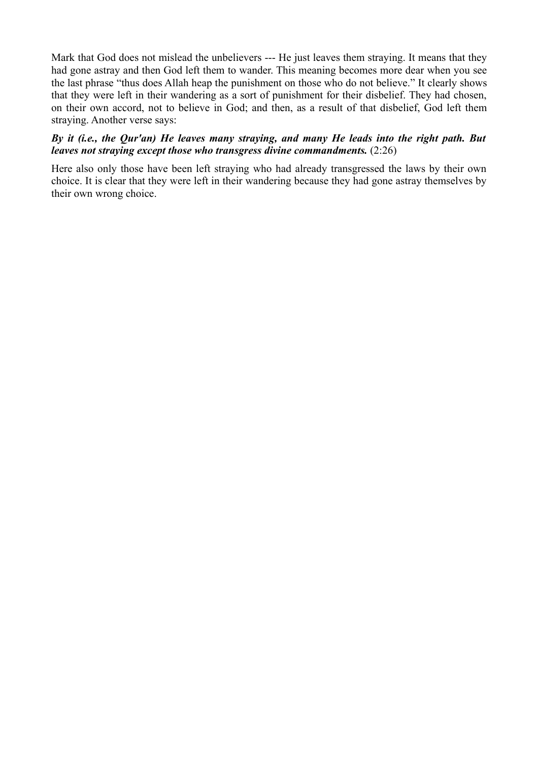Mark that God does not mislead the unbelievers --- He just leaves them straying. It means that they had gone astray and then God left them to wander. This meaning becomes more dear when you see the last phrase "thus does Allah heap the punishment on those who do not believe." It clearly shows that they were left in their wandering as a sort of punishment for their disbelief. They had chosen, on their own accord, not to believe in God; and then, as a result of that disbelief, God left them straying. Another verse says:

#### *By it (i.e., the Qur'an) He leaves many straying, and many He leads into the right path. But leaves not straying except those who transgress divine commandments.* (2:26)

Here also only those have been left straying who had already transgressed the laws by their own choice. It is clear that they were left in their wandering because they had gone astray themselves by their own wrong choice.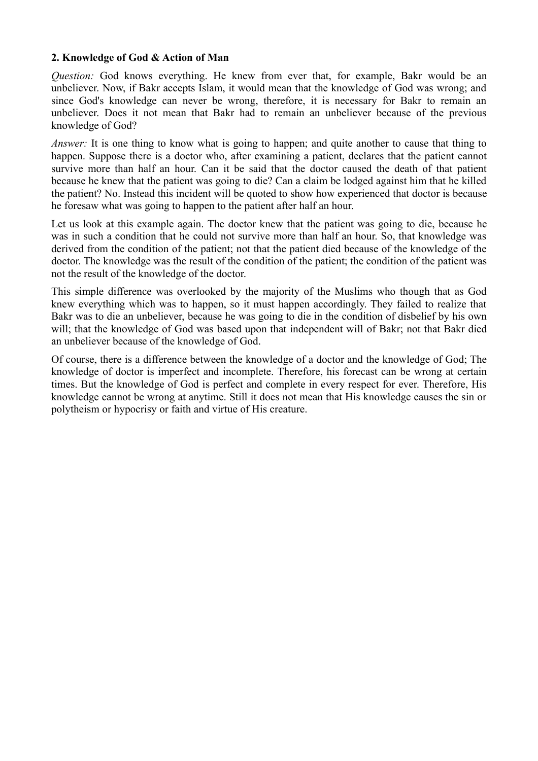#### **2. Knowledge of God & Action of Man**

*Question:* God knows everything. He knew from ever that, for example, Bakr would be an unbeliever. Now, if Bakr accepts Islam, it would mean that the knowledge of God was wrong; and since God's knowledge can never be wrong, therefore, it is necessary for Bakr to remain an unbeliever. Does it not mean that Bakr had to remain an unbeliever because of the previous knowledge of God?

*Answer*: It is one thing to know what is going to happen; and quite another to cause that thing to happen. Suppose there is a doctor who, after examining a patient, declares that the patient cannot survive more than half an hour. Can it be said that the doctor caused the death of that patient because he knew that the patient was going to die? Can a claim be lodged against him that he killed the patient? No. Instead this incident will be quoted to show how experienced that doctor is because he foresaw what was going to happen to the patient after half an hour.

Let us look at this example again. The doctor knew that the patient was going to die, because he was in such a condition that he could not survive more than half an hour. So, that knowledge was derived from the condition of the patient; not that the patient died because of the knowledge of the doctor. The knowledge was the result of the condition of the patient; the condition of the patient was not the result of the knowledge of the doctor.

This simple difference was overlooked by the majority of the Muslims who though that as God knew everything which was to happen, so it must happen accordingly. They failed to realize that Bakr was to die an unbeliever, because he was going to die in the condition of disbelief by his own will; that the knowledge of God was based upon that independent will of Bakr; not that Bakr died an unbeliever because of the knowledge of God.

Of course, there is a difference between the knowledge of a doctor and the knowledge of God; The knowledge of doctor is imperfect and incomplete. Therefore, his forecast can be wrong at certain times. But the knowledge of God is perfect and complete in every respect for ever. Therefore, His knowledge cannot be wrong at anytime. Still it does not mean that His knowledge causes the sin or polytheism or hypocrisy or faith and virtue of His creature.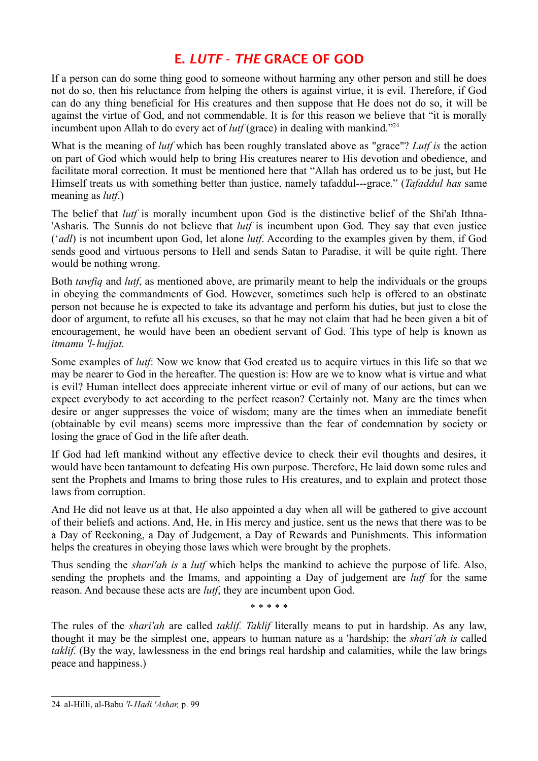## <span id="page-22-0"></span>E. *LUTF* - *THE* GRACE OF GOD

If a person can do some thing good to someone without harming any other person and still he does not do so, then his reluctance from helping the others is against virtue, it is evil. Therefore, if God can do any thing beneficial for His creatures and then suppose that He does not do so, it will be against the virtue of God, and not commendable. It is for this reason we believe that "it is morally incumbent upon Allah to do every act of *lutf* (grace) in dealing with mankind."<sup>[24](#page-22-1)</sup>

What is the meaning of *lutf* which has been roughly translated above as "grace"? *Lutf is* the action on part of God which would help to bring His creatures nearer to His devotion and obedience, and facilitate moral correction. It must be mentioned here that "Allah has ordered us to be just, but He Himself treats us with something better than justice, namely tafaddul---grace." (*Tafaddul has* same meaning as *lutf*.)

The belief that *lutf* is morally incumbent upon God is the distinctive belief of the Shi'ah Ithna- 'Asharis. The Sunnis do not believe that *lutf* is incumbent upon God. They say that even justice ('*adl*) is not incumbent upon God, let alone *lutf*. According to the examples given by them, if God sends good and virtuous persons to Hell and sends Satan to Paradise, it will be quite right. There would be nothing wrong.

Both *tawfiq* and *lutf*, as mentioned above, are primarily meant to help the individuals or the groups in obeying the commandments of God. However, sometimes such help is offered to an obstinate person not because he is expected to take its advantage and perform his duties, but just to close the door of argument, to refute all his excuses, so that he may not claim that had he been given a bit of encouragement, he would have been an obedient servant of God. This type of help is known as *itmamu 'l-hujjat.*

Some examples of *lutf*: Now we know that God created us to acquire virtues in this life so that we may be nearer to God in the hereafter. The question is: How are we to know what is virtue and what is evil? Human intellect does appreciate inherent virtue or evil of many of our actions, but can we expect everybody to act according to the perfect reason? Certainly not. Many are the times when desire or anger suppresses the voice of wisdom; many are the times when an immediate benefit (obtainable by evil means) seems more impressive than the fear of condemnation by society or losing the grace of God in the life after death.

If God had left mankind without any effective device to check their evil thoughts and desires, it would have been tantamount to defeating His own purpose. Therefore, He laid down some rules and sent the Prophets and Imams to bring those rules to His creatures, and to explain and protect those laws from corruption.

And He did not leave us at that, He also appointed a day when all will be gathered to give account of their beliefs and actions. And, He, in His mercy and justice, sent us the news that there was to be a Day of Reckoning, a Day of Judgement, a Day of Rewards and Punishments. This information helps the creatures in obeying those laws which were brought by the prophets.

Thus sending the *shari'ah is* a *lutf* which helps the mankind to achieve the purpose of life. Also, sending the prophets and the Imams, and appointing a Day of judgement are *lutf* for the same reason. And because these acts are *lutf*, they are incumbent upon God.

\* \* \* \* \*

The rules of the *shari'ah* are called *taklif. Taklif* literally means to put in hardship. As any law, thought it may be the simplest one, appears to human nature as a 'hardship; the *shari'ah is* called *taklif.* (By the way, lawlessness in the end brings real hardship and calamities, while the law brings peace and happiness.)

<span id="page-22-1"></span><sup>24</sup> al-Hilli, al-Babu *'l-Hadi 'Ashar,* p. 99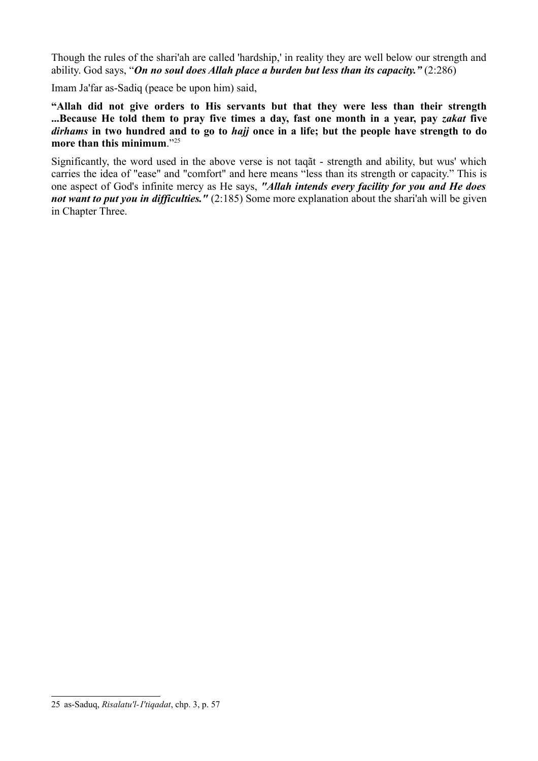Though the rules of the shari'ah are called 'hardship,' in reality they are well below our strength and ability. God says, "*On no soul does Allah place a burden but less than its capacity."* (2:286)

Imam Ja'far as-Sadiq (peace be upon him) said,

**"Allah did not give orders to His servants but that they were less than their strength ...Because He told them to pray five times a day, fast one month in a year, pay** *zakat* **five** dirhams in two hundred and to go to *hajj* once in a life; but the people have strength to do **more than this minimum**."[25](#page-23-0)

Significantly, the word used in the above verse is not taqãt - strength and ability, but wus' which carries the idea of "ease" and "comfort" and here means "less than its strength or capacity." This is one aspect of God's infinite mercy as He says, *"Allah intends every facility for you and He does not want to put you in difficulties."* (2:185) Some more explanation about the shari'ah will be given in Chapter Three.

<span id="page-23-0"></span><sup>25</sup> as-Saduq, *Risalatu'l-I'tiqadat*, chp. 3, p. 57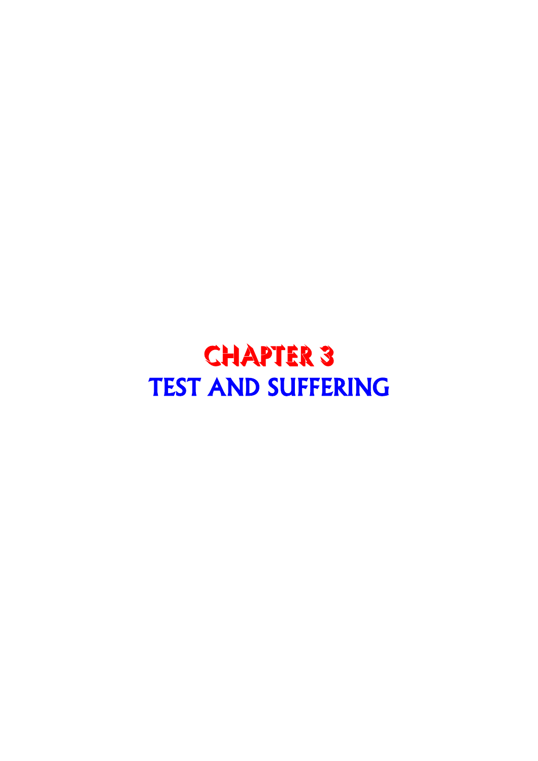## Chapter 3 TEST AND SUFFERING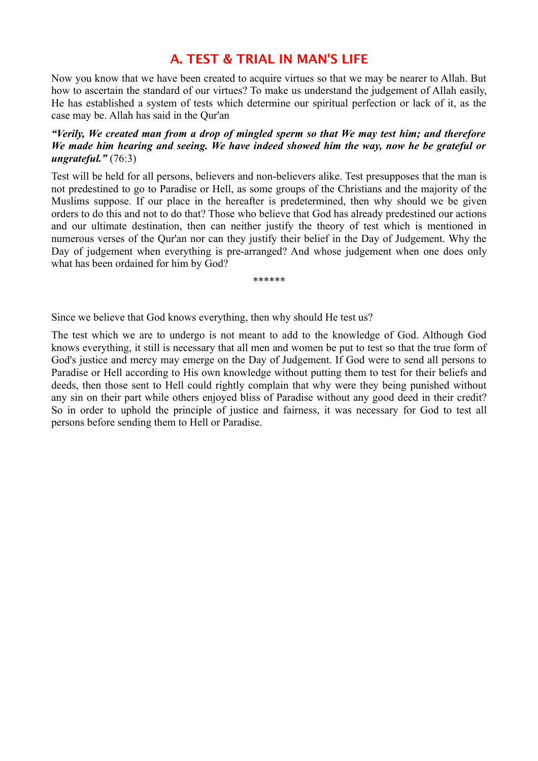## <span id="page-25-0"></span>A. TEST & TRIAL IN MAN'S LIFE

Now you know that we have been created to acquire virtues so that we may be nearer to Allah. But how to ascertain the standard of our virtues? To make us understand the judgement of Allah easily, He has established a system of tests which determine our spiritual perfection or lack of it, as the case may be. Allah has said in the Qur'an

#### *"Verily, We created man from a drop of mingled sperm so that We may test him; and therefore We made him hearing and seeing. We have indeed showed him the way, now he be grateful or ungrateful."* (76:3)

Test will be held for all persons, believers and non-believers alike. Test presupposes that the man is not predestined to go to Paradise or Hell, as some groups of the Christians and the majority of the Muslims suppose. If our place in the hereafter is predetermined, then why should we be given orders to do this and not to do that? Those who believe that God has already predestined our actions and our ultimate destination, then can neither justify the theory of test which is mentioned in numerous verses of the Qur'an nor can they justify their belief in the Day of Judgement. Why the Day of judgement when everything is pre-arranged? And whose judgement when one does only what has been ordained for him by God?

\*\*\*\*\*\*

Since we believe that God knows everything, then why should He test us?

The test which we are to undergo is not meant to add to the knowledge of God. Although God knows everything, it still is necessary that all men and women be put to test so that the true form of God's justice and mercy may emerge on the Day of Judgement. If God were to send all persons to Paradise or Hell according to His own knowledge without putting them to test for their beliefs and deeds, then those sent to Hell could rightly complain that why were they being punished without any sin on their part while others enjoyed bliss of Paradise without any good deed in their credit? So in order to uphold the principle of justice and fairness, it was necessary for God to test all persons before sending them to Hell or Paradise.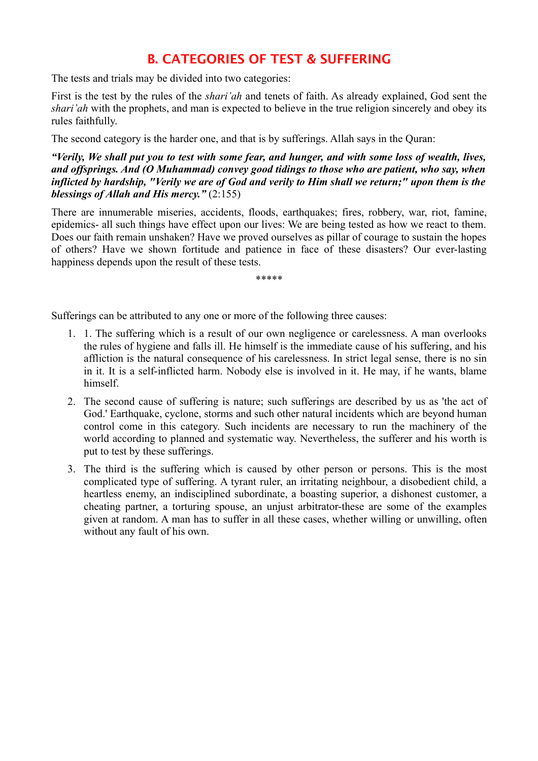## <span id="page-26-0"></span>B. CATEGORIES OF TEST & SUFFERING

The tests and trials may be divided into two categories:

First is the test by the rules of the *shari'ah* and tenets of faith. As already explained, God sent the *shari'ah* with the prophets, and man is expected to believe in the true religion sincerely and obey its rules faithfully.

The second category is the harder one, and that is by sufferings. Allah says in the Quran:

#### "Verily, We shall put you to test with some fear, and hunger, and with some loss of wealth, lives, *and offsprings. And (O Muhammad) convey good tidings to those who are patient, who say, when* inflicted by hardship, "Verily we are of God and verily to Him shall we return;" upon them is the *blessings of Allah and His mercy."* (2:155)

There are innumerable miseries, accidents, floods, earthquakes; fires, robbery, war, riot, famine, epidemics- all such things have effect upon our lives: We are being tested as how we react to them. Does our faith remain unshaken? Have we proved ourselves as pillar of courage to sustain the hopes of others? Have we shown fortitude and patience in face of these disasters? Our ever-lasting happiness depends upon the result of these tests.

\*\*\*\*\*

Sufferings can be attributed to any one or more of the following three causes:

- 1. 1. The suffering which is a result of our own negligence or carelessness. A man overlooks the rules of hygiene and falls ill. He himself is the immediate cause of his suffering, and his affliction is the natural consequence of his carelessness. In strict legal sense, there is no sin in it. It is a self-inflicted harm. Nobody else is involved in it. He may, if he wants, blame himself.
- 2. The second cause of suffering is nature; such sufferings are described by us as 'the act of God.' Earthquake, cyclone, storms and such other natural incidents which are beyond human control come in this category. Such incidents are necessary to run the machinery of the world according to planned and systematic way. Nevertheless, the sufferer and his worth is put to test by these sufferings.
- 3. The third is the suffering which is caused by other person or persons. This is the most complicated type of suffering. A tyrant ruler, an irritating neighbour, a disobedient child, a heartless enemy, an indisciplined subordinate, a boasting superior, a dishonest customer, a cheating partner, a torturing spouse, an unjust arbitrator-these are some of the examples given at random. A man has to suffer in all these cases, whether willing or unwilling, often without any fault of his own.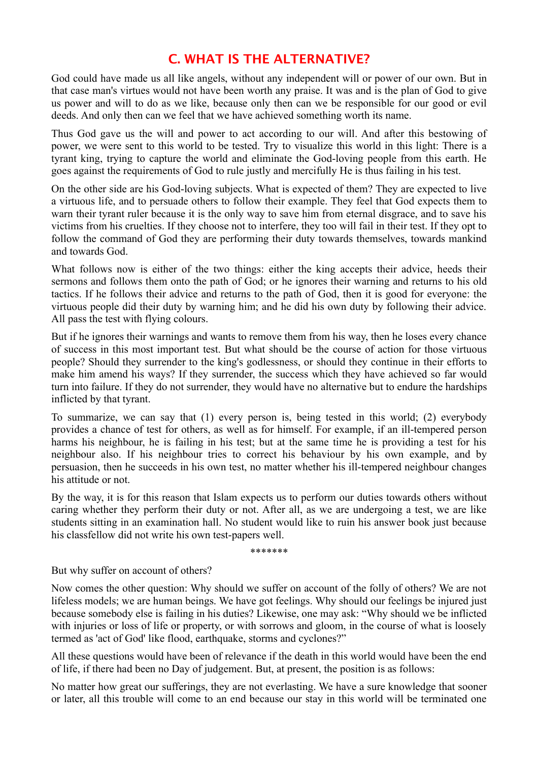## <span id="page-27-0"></span>C. WHAT IS THE ALTERNATIVE?

God could have made us all like angels, without any independent will or power of our own. But in that case man's virtues would not have been worth any praise. It was and is the plan of God to give us power and will to do as we like, because only then can we be responsible for our good or evil deeds. And only then can we feel that we have achieved something worth its name.

Thus God gave us the will and power to act according to our will. And after this bestowing of power, we were sent to this world to be tested. Try to visualize this world in this light: There is a tyrant king, trying to capture the world and eliminate the God-loving people from this earth. He goes against the requirements of God to rule justly and mercifully He is thus failing in his test.

On the other side are his God-loving subjects. What is expected of them? They are expected to live a virtuous life, and to persuade others to follow their example. They feel that God expects them to warn their tyrant ruler because it is the only way to save him from eternal disgrace, and to save his victims from his cruelties. If they choose not to interfere, they too will fail in their test. If they opt to follow the command of God they are performing their duty towards themselves, towards mankind and towards God.

What follows now is either of the two things: either the king accepts their advice, heeds their sermons and follows them onto the path of God; or he ignores their warning and returns to his old tactics. If he follows their advice and returns to the path of God, then it is good for everyone: the virtuous people did their duty by warning him; and he did his own duty by following their advice. All pass the test with flying colours.

But if he ignores their warnings and wants to remove them from his way, then he loses every chance of success in this most important test. But what should be the course of action for those virtuous people? Should they surrender to the king's godlessness, or should they continue in their efforts to make him amend his ways? If they surrender, the success which they have achieved so far would turn into failure. If they do not surrender, they would have no alternative but to endure the hardships inflicted by that tyrant.

To summarize, we can say that (1) every person is, being tested in this world; (2) everybody provides a chance of test for others, as well as for himself. For example, if an ill-tempered person harms his neighbour, he is failing in his test; but at the same time he is providing a test for his neighbour also. If his neighbour tries to correct his behaviour by his own example, and by persuasion, then he succeeds in his own test, no matter whether his ill-tempered neighbour changes his attitude or not.

By the way, it is for this reason that Islam expects us to perform our duties towards others without caring whether they perform their duty or not. After all, as we are undergoing a test, we are like students sitting in an examination hall. No student would like to ruin his answer book just because his classfellow did not write his own test-papers well.

\*\*\*\*\*\*\*

But why suffer on account of others?

Now comes the other question: Why should we suffer on account of the folly of others? We are not lifeless models; we are human beings. We have got feelings. Why should our feelings be injured just because somebody else is failing in his duties? Likewise, one may ask: "Why should we be inflicted with injuries or loss of life or property, or with sorrows and gloom, in the course of what is loosely termed as 'act of God' like flood, earthquake, storms and cyclones?"

All these questions would have been of relevance if the death in this world would have been the end of life, if there had been no Day of judgement. But, at present, the position is as follows:

No matter how great our sufferings, they are not everlasting. We have a sure knowledge that sooner or later, all this trouble will come to an end because our stay in this world will be terminated one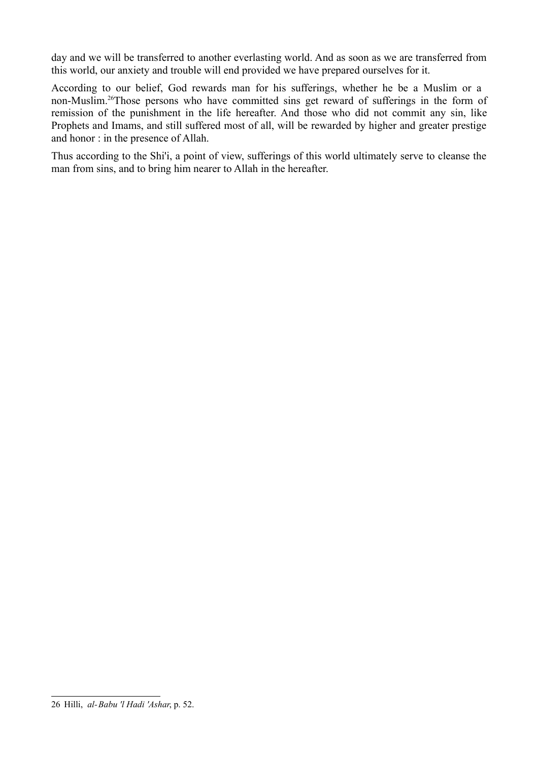day and we will be transferred to another everlasting world. And as soon as we are transferred from this world, our anxiety and trouble will end provided we have prepared ourselves for it.

According to our belief, God rewards man for his sufferings, whether he be a Muslim or a non-Muslim. [26](#page-28-0)Those persons who have committed sins get reward of sufferings in the form of remission of the punishment in the life hereafter. And those who did not commit any sin, like Prophets and Imams, and still suffered most of all, will be rewarded by higher and greater prestige and honor : in the presence of Allah.

Thus according to the Shi'i, a point of view, sufferings of this world ultimately serve to cleanse the man from sins, and to bring him nearer to Allah in the hereafter.

<span id="page-28-0"></span><sup>26</sup> Hilli, *al-Babu 'l Hadi 'Ashar*, p. 52.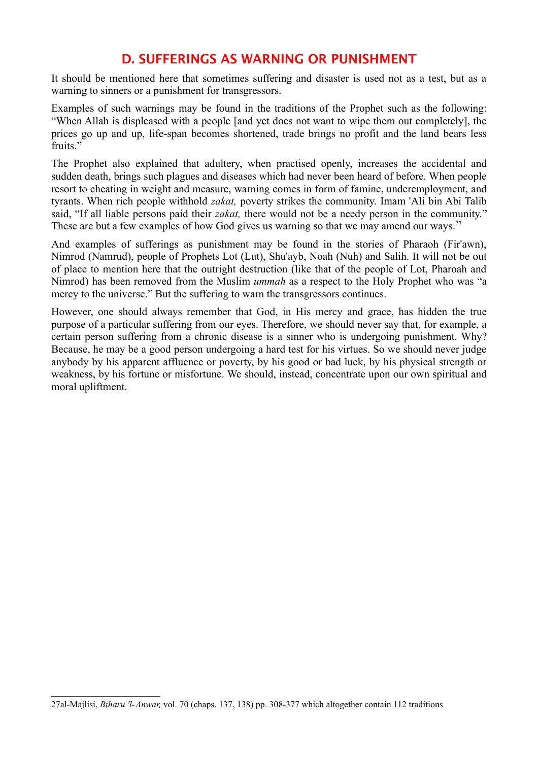## <span id="page-29-0"></span>D. SUFFERINGS AS WARNING OR PUNISHMENT

It should be mentioned here that sometimes suffering and disaster is used not as a test, but as a warning to sinners or a punishment for transgressors.

Examples of such warnings may be found in the traditions of the Prophet such as the following: "When Allah is displeased with a people [and yet does not want to wipe them out completely], the prices go up and up, life-span becomes shortened, trade brings no profit and the land bears less fruits."

The Prophet also explained that adultery, when practised openly, increases the accidental and sudden death, brings such plagues and diseases which had never been heard of before. When people resort to cheating in weight and measure, warning comes in form of famine, underemployment, and tyrants. When rich people withhold *zakat,* poverty strikes the community. Imam 'Ali bin Abi Talib said, "If all liable persons paid their *zakat,* there would not be a needy person in the community." These are but a few examples of how God gives us warning so that we may amend our ways.<sup>[27](#page-29-1)</sup>

And examples of sufferings as punishment may be found in the stories of Pharaoh (Fir'awn), Nimrod (Namrud), people of Prophets Lot (Lut), Shu'ayb, Noah (Nuh) and Salih. It will not be out of place to mention here that the outright destruction (like that of the people of Lot, Pharoah and Nimrod) has been removed from the Muslim *ummah* as a respect to the Holy Prophet who was "a mercy to the universe." But the suffering to warn the transgressors continues.

However, one should always remember that God, in His mercy and grace, has hidden the true purpose of a particular suffering from our eyes. Therefore, we should never say that, for example, a certain person suffering from a chronic disease is a sinner who is undergoing punishment. Why? Because, he may be a good person undergoing a hard test for his virtues. So we should never judge anybody by his apparent affluence or poverty, by his good or bad luck, by his physical strength or weakness, by his fortune or misfortune. We should, instead, concentrate upon our own spiritual and moral upliftment.

<span id="page-29-1"></span><sup>27</sup>al-Majlisi, *Biharu 'l-Anwar,* vol. 70 (chaps. 137, 138) pp. 308-377 which altogether contain 112 traditions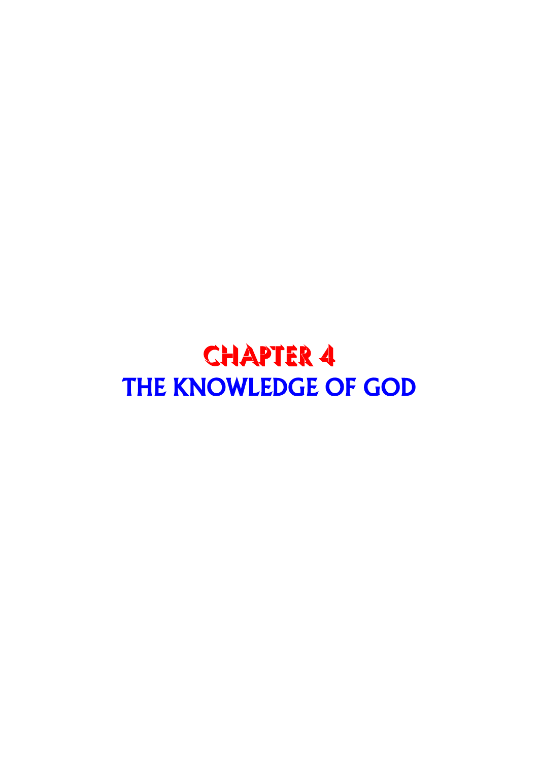## Chapter 4 THE KNOWLEDGE OF GOD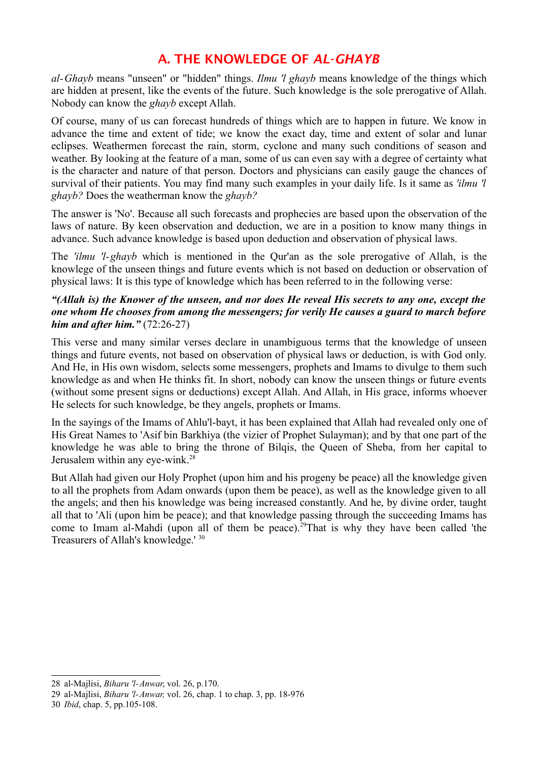## <span id="page-31-0"></span>A. THE KNOWLEDGE OF *AL-GHAYB*

*al-Ghayb* means "unseen" or "hidden" things. *Ilmu 'l ghayb* means knowledge of the things which are hidden at present, like the events of the future. Such knowledge is the sole prerogative of Allah. Nobody can know the *ghayb* except Allah.

Of course, many of us can forecast hundreds of things which are to happen in future. We know in advance the time and extent of tide; we know the exact day, time and extent of solar and lunar eclipses. Weathermen forecast the rain, storm, cyclone and many such conditions of season and weather. By looking at the feature of a man, some of us can even say with a degree of certainty what is the character and nature of that person. Doctors and physicians can easily gauge the chances of survival of their patients. You may find many such examples in your daily life. Is it same as *'ilmu 'l ghayb?* Does the weatherman know the *ghayb?*

The answer is 'No'. Because all such forecasts and prophecies are based upon the observation of the laws of nature. By keen observation and deduction, we are in a position to know many things in advance. Such advance knowledge is based upon deduction and observation of physical laws.

The *'ilmu 'l-ghayb* which is mentioned in the Qur'an as the sole prerogative of Allah, is the knowlege of the unseen things and future events which is not based on deduction or observation of physical laws: It is this type of knowledge which has been referred to in the following verse:

#### "(Allah is) the Knower of the unseen, and nor does He reveal His secrets to any one, except the *one whom He chooses from among the messengers; for verily He causes a guard to march before him and after him."* (72:26-27)

This verse and many similar verses declare in unambiguous terms that the knowledge of unseen things and future events, not based on observation of physical laws or deduction, is with God only. And He, in His own wisdom, selects some messengers, prophets and Imams to divulge to them such knowledge as and when He thinks fit. In short, nobody can know the unseen things or future events (without some present signs or deductions) except Allah. And Allah, in His grace, informs whoever He selects for such knowledge, be they angels, prophets or Imams.

In the sayings of the Imams of Ahlu'l-bayt, it has been explained that Allah had revealed only one of His Great Names to 'Asif bin Barkhiya (the vizier of Prophet Sulayman); and by that one part of the knowledge he was able to bring the throne of Bilqis, the Queen of Sheba, from her capital to Jerusalem within any eye-wink.<sup>[28](#page-31-1)</sup>

But Allah had given our Holy Prophet (upon him and his progeny be peace) all the knowledge given to all the prophets from Adam onwards (upon them be peace), as well as the knowledge given to all the angels; and then his knowledge was being increased constantly. And he, by divine order, taught all that to 'Ali (upon him be peace); and that knowledge passing through the succeeding Imams has come to Imam al-Mahdi (upon all of them be peace).<sup>[29](#page-31-2)</sup>That is why they have been called 'the Treasurers of Allah's knowledge.' [30](#page-31-3)

<span id="page-31-1"></span><sup>28</sup> al-Majlisi, *Biharu 'l-Anwar*, vol. 26, p.170.

<span id="page-31-2"></span><sup>29</sup> al-Majlisi, *Biharu 'l-Anwar,* vol. 26, chap. 1 to chap. 3, pp. 18-976

<span id="page-31-3"></span><sup>30</sup> *Ibid*, chap. 5, pp.105-108.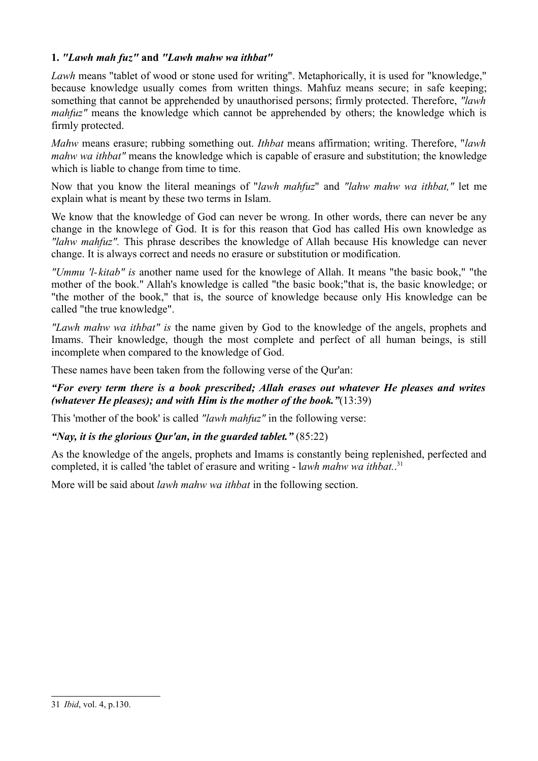### **1.** *"Lawh mah fuz"* **and** *"Lawh mahw wa ithbat"*

*Lawh* means "tablet of wood or stone used for writing". Metaphorically, it is used for "knowledge," because knowledge usually comes from written things. Mahfuz means secure; in safe keeping; something that cannot be apprehended by unauthorised persons; firmly protected. Therefore, *"lawh mahfuz*" means the knowledge which cannot be apprehended by others; the knowledge which is firmly protected.

*Mahw* means erasure; rubbing something out. *Ithbat* means affirmation; writing. Therefore, "*lawh mahw wa ithbat"* means the knowledge which is capable of erasure and substitution; the knowledge which is liable to change from time to time.

Now that you know the literal meanings of "*lawh mahfuz*" and *"lahw mahw wa ithbat,"* let me explain what is meant by these two terms in Islam.

We know that the knowledge of God can never be wrong. In other words, there can never be any change in the knowlege of God. It is for this reason that God has called His own knowledge as *"lahw mahfuz".* This phrase describes the knowledge of Allah because His knowledge can never change. It is always correct and needs no erasure or substitution or modification.

*"Ummu 'l-kitab" is* another name used for the knowlege of Allah. It means "the basic book," "the mother of the book." Allah's knowledge is called "the basic book;"that is, the basic knowledge; or "the mother of the book," that is, the source of knowledge because only His knowledge can be called "the true knowledge".

*"Lawh mahw wa ithbat" is* the name given by God to the knowledge of the angels, prophets and Imams. Their knowledge, though the most complete and perfect of all human beings, is still incomplete when compared to the knowledge of God.

These names have been taken from the following verse of the Qur'an:

### *"For every term there is a book prescribed; Allah erases out whatever He pleases and writes (whatever He pleases); and with Him is the mother of the book."*(13:39)

This 'mother of the book' is called *"lawh mahfuz"* in the following verse:

### *"Nay, it is the glorious Qur'an, in the guarded tablet."* (85:22)

As the knowledge of the angels, prophets and Imams is constantly being replenished, perfected and completed, it is called 'the tablet of erasure and writing - l*awh mahw wa ithbat.*. [31](#page-32-0)

More will be said about *lawh mahw wa ithbat* in the following section.

<span id="page-32-0"></span><sup>31</sup> *Ibid*, vol. 4, p.130.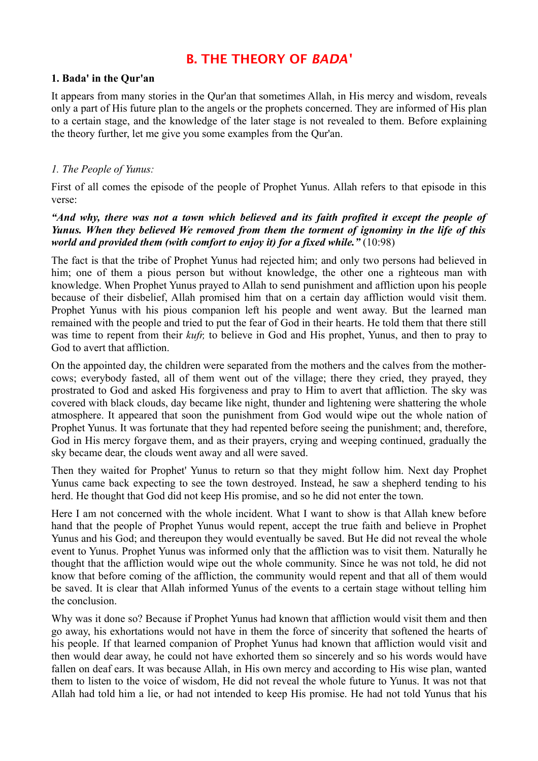## <span id="page-33-0"></span>B. THE THEORY OF *BADA'*

#### **1. Bada' in the Qur'an**

It appears from many stories in the Qur'an that sometimes Allah, in His mercy and wisdom, reveals only a part of His future plan to the angels or the prophets concerned. They are informed of His plan to a certain stage, and the knowledge of the later stage is not revealed to them. Before explaining the theory further, let me give you some examples from the Qur'an.

#### *1. The People of Yunus:*

First of all comes the episode of the people of Prophet Yunus. Allah refers to that episode in this verse:

### *"And why, there was not a town which believed and its faith profited it except the people of Yunus. When they believed We removed from them the torment of ignominy in the life of this world and provided them (with comfort to enjoy it) for a fixed while."* (10:98)

The fact is that the tribe of Prophet Yunus had rejected him; and only two persons had believed in him; one of them a pious person but without knowledge, the other one a righteous man with knowledge. When Prophet Yunus prayed to Allah to send punishment and affliction upon his people because of their disbelief, Allah promised him that on a certain day affliction would visit them. Prophet Yunus with his pious companion left his people and went away. But the learned man remained with the people and tried to put the fear of God in their hearts. He told them that there still was time to repent from their *kufr,* to believe in God and His prophet, Yunus, and then to pray to God to avert that affliction.

On the appointed day, the children were separated from the mothers and the calves from the mothercows; everybody fasted, all of them went out of the village; there they cried, they prayed, they prostrated to God and asked His forgiveness and pray to Him to avert that affliction. The sky was covered with black clouds, day became like night, thunder and lightening were shattering the whole atmosphere. It appeared that soon the punishment from God would wipe out the whole nation of Prophet Yunus. It was fortunate that they had repented before seeing the punishment; and, therefore, God in His mercy forgave them, and as their prayers, crying and weeping continued, gradually the sky became dear, the clouds went away and all were saved.

Then they waited for Prophet' Yunus to return so that they might follow him. Next day Prophet Yunus came back expecting to see the town destroyed. Instead, he saw a shepherd tending to his herd. He thought that God did not keep His promise, and so he did not enter the town.

Here I am not concerned with the whole incident. What I want to show is that Allah knew before hand that the people of Prophet Yunus would repent, accept the true faith and believe in Prophet Yunus and his God; and thereupon they would eventually be saved. But He did not reveal the whole event to Yunus. Prophet Yunus was informed only that the affliction was to visit them. Naturally he thought that the affliction would wipe out the whole community. Since he was not told, he did not know that before coming of the affliction, the community would repent and that all of them would be saved. It is clear that Allah informed Yunus of the events to a certain stage without telling him the conclusion.

Why was it done so? Because if Prophet Yunus had known that affliction would visit them and then go away, his exhortations would not have in them the force of sincerity that softened the hearts of his people. If that learned companion of Prophet Yunus had known that affliction would visit and then would dear away, he could not have exhorted them so sincerely and so his words would have fallen on deaf ears. It was because Allah, in His own mercy and according to His wise plan, wanted them to listen to the voice of wisdom, He did not reveal the whole future to Yunus. It was not that Allah had told him a lie, or had not intended to keep His promise. He had not told Yunus that his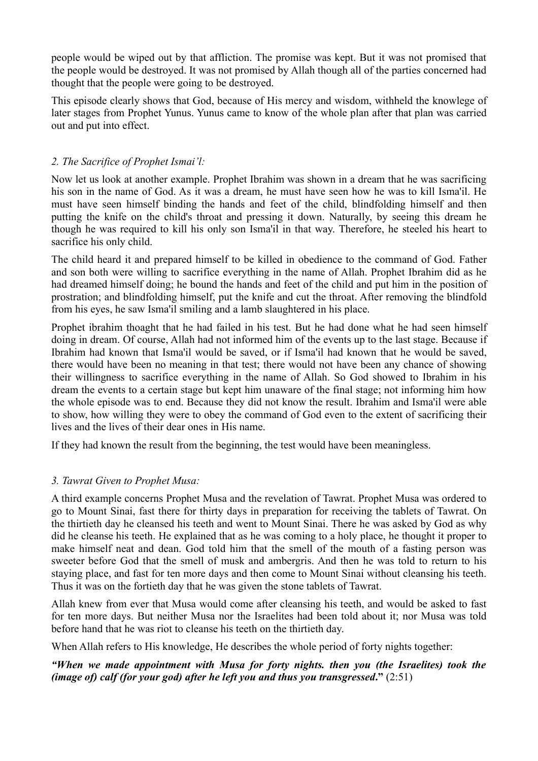people would be wiped out by that affliction. The promise was kept. But it was not promised that the people would be destroyed. It was not promised by Allah though all of the parties concerned had thought that the people were going to be destroyed.

This episode clearly shows that God, because of His mercy and wisdom, withheld the knowlege of later stages from Prophet Yunus. Yunus came to know of the whole plan after that plan was carried out and put into effect.

### *2. The Sacrifice of Prophet Ismai'l:*

Now let us look at another example. Prophet Ibrahim was shown in a dream that he was sacrificing his son in the name of God. As it was a dream, he must have seen how he was to kill Isma'il. He must have seen himself binding the hands and feet of the child, blindfolding himself and then putting the knife on the child's throat and pressing it down. Naturally, by seeing this dream he though he was required to kill his only son Isma'il in that way. Therefore, he steeled his heart to sacrifice his only child.

The child heard it and prepared himself to be killed in obedience to the command of God. Father and son both were willing to sacrifice everything in the name of Allah. Prophet Ibrahim did as he had dreamed himself doing; he bound the hands and feet of the child and put him in the position of prostration; and blindfolding himself, put the knife and cut the throat. After removing the blindfold from his eyes, he saw Isma'il smiling and a lamb slaughtered in his place.

Prophet ibrahim thoaght that he had failed in his test. But he had done what he had seen himself doing in dream. Of course, Allah had not informed him of the events up to the last stage. Because if Ibrahim had known that Isma'il would be saved, or if Isma'il had known that he would be saved, there would have been no meaning in that test; there would not have been any chance of showing their willingness to sacrifice everything in the name of Allah. So God showed to Ibrahim in his dream the events to a certain stage but kept him unaware of the final stage; not informing him how the whole episode was to end. Because they did not know the result. Ibrahim and Isma'il were able to show, how willing they were to obey the command of God even to the extent of sacrificing their lives and the lives of their dear ones in His name.

If they had known the result from the beginning, the test would have been meaningless.

### *3. Tawrat Given to Prophet Musa:*

A third example concerns Prophet Musa and the revelation of Tawrat. Prophet Musa was ordered to go to Mount Sinai, fast there for thirty days in preparation for receiving the tablets of Tawrat. On the thirtieth day he cleansed his teeth and went to Mount Sinai. There he was asked by God as why did he cleanse his teeth. He explained that as he was coming to a holy place, he thought it proper to make himself neat and dean. God told him that the smell of the mouth of a fasting person was sweeter before God that the smell of musk and ambergris. And then he was told to return to his staying place, and fast for ten more days and then come to Mount Sinai without cleansing his teeth. Thus it was on the fortieth day that he was given the stone tablets of Tawrat.

Allah knew from ever that Musa would come after cleansing his teeth, and would be asked to fast for ten more days. But neither Musa nor the Israelites had been told about it; nor Musa was told before hand that he was riot to cleanse his teeth on the thirtieth day.

When Allah refers to His knowledge, He describes the whole period of forty nights together:

## *"When we made appointment with Musa for forty nights. then you (the Israelites) took the (image of) calf (for your god) after he left you and thus you transgressed***."** (2:51)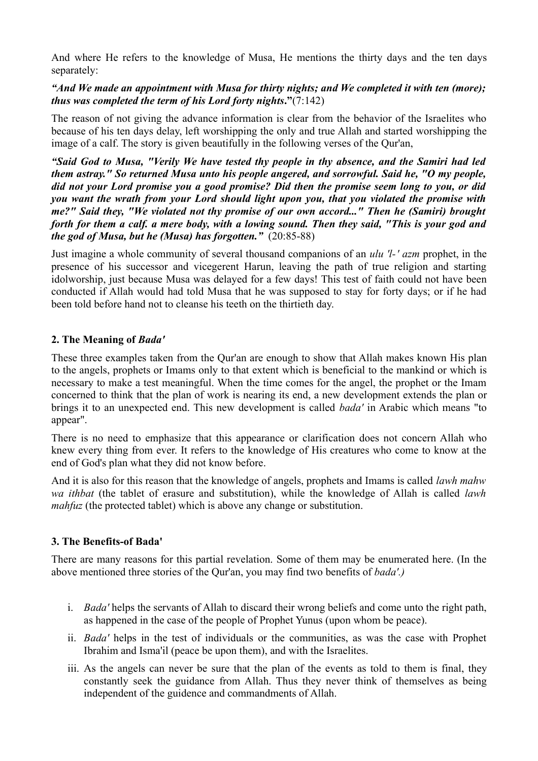And where He refers to the knowledge of Musa, He mentions the thirty days and the ten days separately:

### *"And We made an appointment with Musa for thirty nights; and We completed it with ten (more); thus was completed the term of his Lord forty nights***."**(7:142)

The reason of not giving the advance information is clear from the behavior of the Israelites who because of his ten days delay, left worshipping the only and true Allah and started worshipping the image of a calf. The story is given beautifully in the following verses of the Qur'an,

*"Said God to Musa, "Verily We have tested thy people in thy absence, and the Samiri had led them astray." So returned Musa unto his people angered, and sorrowful. Said he, "O my people, did not your Lord promise you a good promise? Did then the promise seem long to you, or did you want the wrath from your Lord should light upon you, that you violated the promise with me?" Said they, "We violated not thy promise of our own accord..." Then he (Samiri) brought* forth for them a calf, a mere body, with a lowing sound. Then they said, "This is your god and *the god of Musa, but he (Musa) has forgotten."* (20:85-88)

Just imagine a whole community of several thousand companions of an *ulu 'l-' azm* prophet, in the presence of his successor and vicegerent Harun, leaving the path of true religion and starting idolworship, just because Musa was delayed for a few days! This test of faith could not have been conducted if Allah would had told Musa that he was supposed to stay for forty days; or if he had been told before hand not to cleanse his teeth on the thirtieth day.

### **2. The Meaning of** *Bada'*

These three examples taken from the Qur'an are enough to show that Allah makes known His plan to the angels, prophets or Imams only to that extent which is beneficial to the mankind or which is necessary to make a test meaningful. When the time comes for the angel, the prophet or the Imam concerned to think that the plan of work is nearing its end, a new development extends the plan or brings it to an unexpected end. This new development is called *bada'* in Arabic which means "to appear".

There is no need to emphasize that this appearance or clarification does not concern Allah who knew every thing from ever. It refers to the knowledge of His creatures who come to know at the end of God's plan what they did not know before.

And it is also for this reason that the knowledge of angels, prophets and Imams is called *lawh mahw wa ithbat* (the tablet of erasure and substitution), while the knowledge of Allah is called *lawh mahfuz* (the protected tablet) which is above any change or substitution.

### **3. The Benefits-of Bada'**

There are many reasons for this partial revelation. Some of them may be enumerated here. (In the above mentioned three stories of the Qur'an, you may find two benefits of *bada'.)*

- i. *Bada'* helps the servants of Allah to discard their wrong beliefs and come unto the right path, as happened in the case of the people of Prophet Yunus (upon whom be peace).
- ii. *Bada'* helps in the test of individuals or the communities, as was the case with Prophet Ibrahim and Isma'il (peace be upon them), and with the Israelites.
- iii. As the angels can never be sure that the plan of the events as told to them is final, they constantly seek the guidance from Allah. Thus they never think of themselves as being independent of the guidence and commandments of Allah.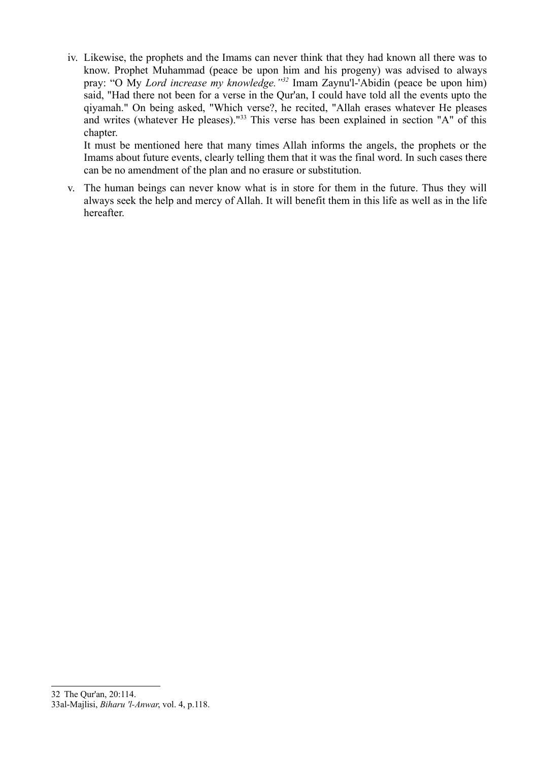iv. Likewise, the prophets and the Imams can never think that they had known all there was to know. Prophet Muhammad (peace be upon him and his progeny) was advised to always pray: "O My *Lord increase my knowledge."[32](#page-36-0)* Imam Zaynu'l-'Abidin (peace be upon him) said, "Had there not been for a verse in the Qur'an, I could have told all the events upto the qiyamah." On being asked, "Which verse?, he recited, "Allah erases whatever He pleases and writes (whatever He pleases)."<sup>[33](#page-36-1)</sup> This verse has been explained in section "A" of this chapter.

It must be mentioned here that many times Allah informs the angels, the prophets or the Imams about future events, clearly telling them that it was the final word. In such cases there can be no amendment of the plan and no erasure or substitution.

<span id="page-36-1"></span><span id="page-36-0"></span>v. The human beings can never know what is in store for them in the future. Thus they will always seek the help and mercy of Allah. It will benefit them in this life as well as in the life hereafter.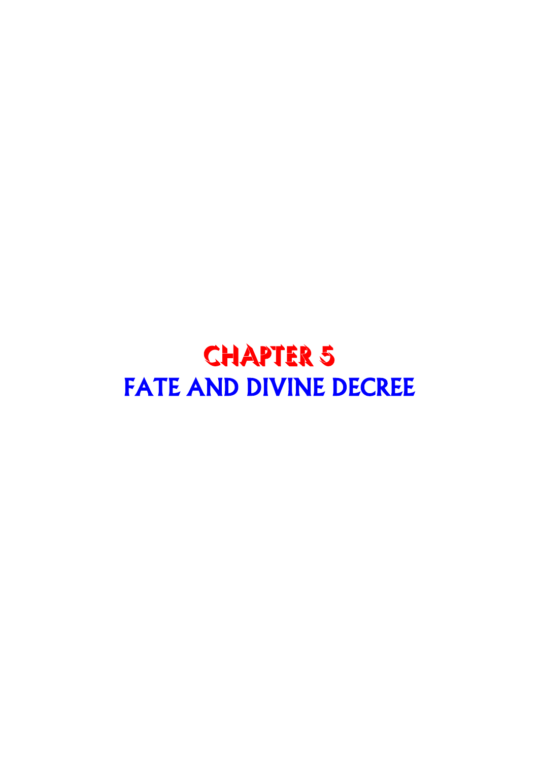## Chapter 5 FATE AND DIVINE DECREE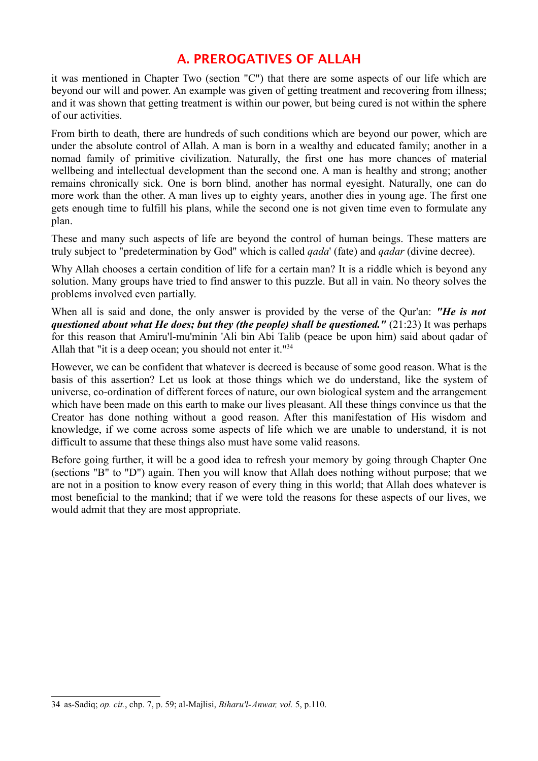## <span id="page-38-0"></span>A. PREROGATIVES OF ALLAH

it was mentioned in Chapter Two (section "C") that there are some aspects of our life which are beyond our will and power. An example was given of getting treatment and recovering from illness; and it was shown that getting treatment is within our power, but being cured is not within the sphere of our activities.

From birth to death, there are hundreds of such conditions which are beyond our power, which are under the absolute control of Allah. A man is born in a wealthy and educated family; another in a nomad family of primitive civilization. Naturally, the first one has more chances of material wellbeing and intellectual development than the second one. A man is healthy and strong; another remains chronically sick. One is born blind, another has normal eyesight. Naturally, one can do more work than the other. A man lives up to eighty years, another dies in young age. The first one gets enough time to fulfill his plans, while the second one is not given time even to formulate any plan.

These and many such aspects of life are beyond the control of human beings. These matters are truly subject to "predetermination by God" which is called *qada*' (fate) and *qadar* (divine decree).

Why Allah chooses a certain condition of life for a certain man? It is a riddle which is beyond any solution. Many groups have tried to find answer to this puzzle. But all in vain. No theory solves the problems involved even partially.

When all is said and done, the only answer is provided by the verse of the Qur'an: *"He is not questioned about what He does; but they (the people) shall be questioned."* (21:23) It was perhaps for this reason that Amiru'l-mu'minin 'Ali bin Abi Talib (peace be upon him) said about qadar of Allah that "it is a deep ocean; you should not enter it."<sup>[34](#page-38-1)</sup>

However, we can be confident that whatever is decreed is because of some good reason. What is the basis of this assertion? Let us look at those things which we do understand, like the system of universe, co-ordination of different forces of nature, our own biological system and the arrangement which have been made on this earth to make our lives pleasant. All these things convince us that the Creator has done nothing without a good reason. After this manifestation of His wisdom and knowledge, if we come across some aspects of life which we are unable to understand, it is not difficult to assume that these things also must have some valid reasons.

Before going further, it will be a good idea to refresh your memory by going through Chapter One (sections "B" to "D") again. Then you will know that Allah does nothing without purpose; that we are not in a position to know every reason of every thing in this world; that Allah does whatever is most beneficial to the mankind; that if we were told the reasons for these aspects of our lives, we would admit that they are most appropriate.

<span id="page-38-1"></span><sup>34</sup> as-Sadiq; *op. cit.*, chp. 7, p. 59; al-Majlisi, *Biharu'l-Anwar, vol.* 5, p.110.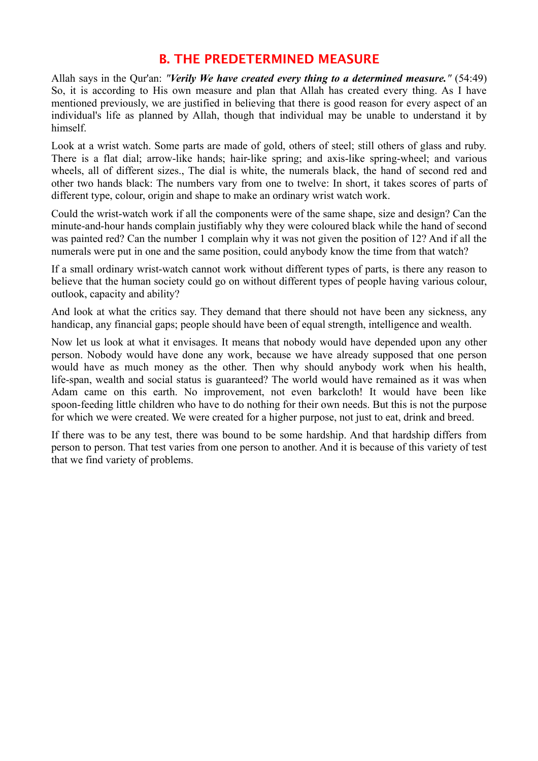## <span id="page-39-0"></span>B. THE PREDETERMINED MEASURE

Allah says in the Qur'an: *"Verily We have created every thing to a determined measure."* (54:49) So, it is according to His own measure and plan that Allah has created every thing. As I have mentioned previously, we are justified in believing that there is good reason for every aspect of an individual's life as planned by Allah, though that individual may be unable to understand it by himself.

Look at a wrist watch. Some parts are made of gold, others of steel; still others of glass and ruby. There is a flat dial; arrow-like hands; hair-like spring; and axis-like spring-wheel; and various wheels, all of different sizes., The dial is white, the numerals black, the hand of second red and other two hands black: The numbers vary from one to twelve: In short, it takes scores of parts of different type, colour, origin and shape to make an ordinary wrist watch work.

Could the wrist-watch work if all the components were of the same shape, size and design? Can the minute-and-hour hands complain justifiably why they were coloured black while the hand of second was painted red? Can the number 1 complain why it was not given the position of 12? And if all the numerals were put in one and the same position, could anybody know the time from that watch?

If a small ordinary wrist-watch cannot work without different types of parts, is there any reason to believe that the human society could go on without different types of people having various colour, outlook, capacity and ability?

And look at what the critics say. They demand that there should not have been any sickness, any handicap, any financial gaps; people should have been of equal strength, intelligence and wealth.

Now let us look at what it envisages. It means that nobody would have depended upon any other person. Nobody would have done any work, because we have already supposed that one person would have as much money as the other. Then why should anybody work when his health, life-span, wealth and social status is guaranteed? The world would have remained as it was when Adam came on this earth. No improvement, not even barkcloth! It would have been like spoon-feeding little children who have to do nothing for their own needs. But this is not the purpose for which we were created. We were created for a higher purpose, not just to eat, drink and breed.

If there was to be any test, there was bound to be some hardship. And that hardship differs from person to person. That test varies from one person to another. And it is because of this variety of test that we find variety of problems.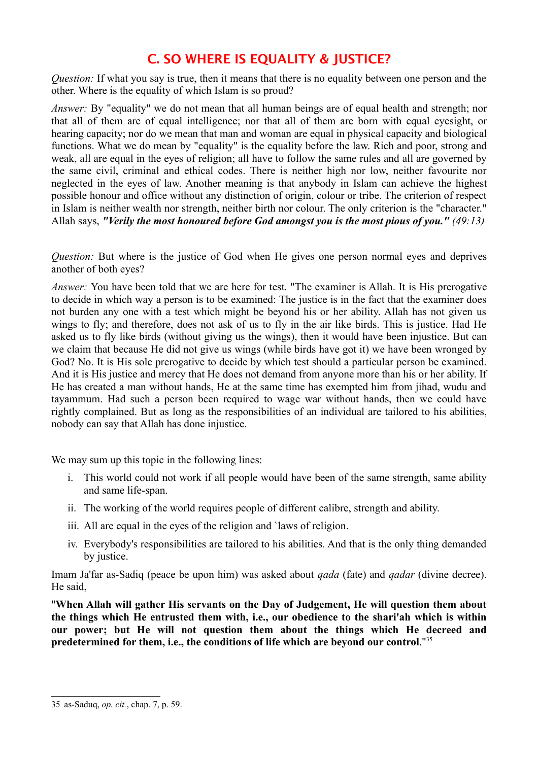## <span id="page-40-0"></span>C. SO WHERE IS EQUALITY & JUSTICE?

*Question:* If what you say is true, then it means that there is no equality between one person and the other. Where is the equality of which Islam is so proud?

*Answer:* By "equality" we do not mean that all human beings are of equal health and strength; nor that all of them are of equal intelligence; nor that all of them are born with equal eyesight, or hearing capacity; nor do we mean that man and woman are equal in physical capacity and biological functions. What we do mean by "equality" is the equality before the law. Rich and poor, strong and weak, all are equal in the eyes of religion; all have to follow the same rules and all are governed by the same civil, criminal and ethical codes. There is neither high nor low, neither favourite nor neglected in the eyes of law. Another meaning is that anybody in Islam can achieve the highest possible honour and office without any distinction of origin, colour or tribe. The criterion of respect in Islam is neither wealth nor strength, neither birth nor colour. The only criterion is the "character." Allah says, *"Verily the most honoured before God amongst you is the most pious of you." (49:13)*

*Question:* But where is the justice of God when He gives one person normal eyes and deprives another of both eyes?

*Answer:* You have been told that we are here for test. "The examiner is Allah. It is His prerogative to decide in which way a person is to be examined: The justice is in the fact that the examiner does not burden any one with a test which might be beyond his or her ability. Allah has not given us wings to fly; and therefore, does not ask of us to fly in the air like birds. This is justice. Had He asked us to fly like birds (without giving us the wings), then it would have been injustice. But can we claim that because He did not give us wings (while birds have got it) we have been wronged by God? No. It is His sole prerogative to decide by which test should a particular person be examined. And it is His justice and mercy that He does not demand from anyone more than his or her ability. If He has created a man without hands, He at the same time has exempted him from jihad, wudu and tayammum. Had such a person been required to wage war without hands, then we could have rightly complained. But as long as the responsibilities of an individual are tailored to his abilities, nobody can say that Allah has done injustice.

We may sum up this topic in the following lines:

- i. This world could not work if all people would have been of the same strength, same ability and same life-span.
- ii. The working of the world requires people of different calibre, strength and ability.
- iii. All are equal in the eyes of the religion and `laws of religion.
- iv. Everybody's responsibilities are tailored to his abilities. And that is the only thing demanded by justice.

Imam Ja'far as-Sadiq (peace be upon him) was asked about *qada* (fate) and *qadar* (divine decree). He said,

"**When Allah will gather His servants on the Day of Judgement, He will question them about the things which He entrusted them with, i.e., our obedience to the shari'ah which is within our power; but He will not question them about the things which He decreed and predetermined for them, i.e., the conditions of life which are beyond our control**."[35](#page-40-1)

<span id="page-40-1"></span><sup>35</sup> as-Saduq, *op. cit.*, chap. 7, p. 59.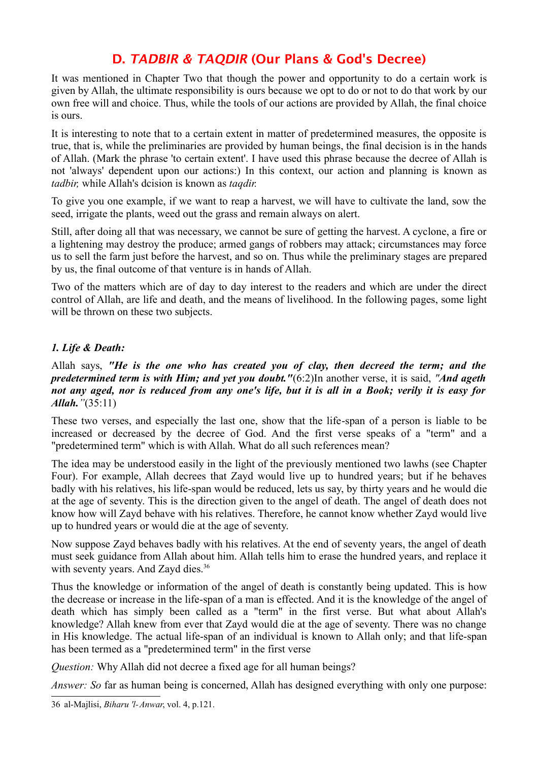## <span id="page-41-0"></span>D. *TADBIR & TAQDIR* (Our Plans & God's Decree)

It was mentioned in Chapter Two that though the power and opportunity to do a certain work is given by Allah, the ultimate responsibility is ours because we opt to do or not to do that work by our own free will and choice. Thus, while the tools of our actions are provided by Allah, the final choice is ours.

It is interesting to note that to a certain extent in matter of predetermined measures, the opposite is true, that is, while the preliminaries are provided by human beings, the final decision is in the hands of Allah. (Mark the phrase 'to certain extent'. I have used this phrase because the decree of Allah is not 'always' dependent upon our actions:) In this context, our action and planning is known as *tadbir,* while Allah's dcision is known as *taqdir.*

To give you one example, if we want to reap a harvest, we will have to cultivate the land, sow the seed, irrigate the plants, weed out the grass and remain always on alert.

Still, after doing all that was necessary, we cannot be sure of getting the harvest. A cyclone, a fire or a lightening may destroy the produce; armed gangs of robbers may attack; circumstances may force us to sell the farm just before the harvest, and so on. Thus while the preliminary stages are prepared by us, the final outcome of that venture is in hands of Allah.

Two of the matters which are of day to day interest to the readers and which are under the direct control of Allah, are life and death, and the means of livelihood. In the following pages, some light will be thrown on these two subjects.

### *1. Life & Death:*

#### Allah says, *"He is the one who has created you of clay, then decreed the term; and the predetermined term is with Him; and yet you doubt."*(6:2)In another verse, it is said, *"And ageth* not any aged, nor is reduced from any one's life, but it is all in a Book; verily it is easy for *Allah."*(35:11)

These two verses, and especially the last one, show that the life-span of a person is liable to be increased or decreased by the decree of God. And the first verse speaks of a "term" and a "predetermined term" which is with Allah. What do all such references mean?

The idea may be understood easily in the light of the previously mentioned two lawhs (see Chapter Four). For example, Allah decrees that Zayd would live up to hundred years; but if he behaves badly with his relatives, his life-span would be reduced, lets us say, by thirty years and he would die at the age of seventy. This is the direction given to the angel of death. The angel of death does not know how will Zayd behave with his relatives. Therefore, he cannot know whether Zayd would live up to hundred years or would die at the age of seventy.

Now suppose Zayd behaves badly with his relatives. At the end of seventy years, the angel of death must seek guidance from Allah about him. Allah tells him to erase the hundred years, and replace it with seventy years. And Zayd dies.<sup>[36](#page-41-1)</sup>

Thus the knowledge or information of the angel of death is constantly being updated. This is how the decrease or increase in the life-span of a man is effected. And it is the knowledge of the angel of death which has simply been called as a "term" in the first verse. But what about Allah's knowledge? Allah knew from ever that Zayd would die at the age of seventy. There was no change in His knowledge. The actual life-span of an individual is known to Allah only; and that life-span has been termed as a "predetermined term" in the first verse

*Question:* Why Allah did not decree a fixed age for all human beings?

*Answer: So* far as human being is concerned, Allah has designed everything with only one purpose:

<span id="page-41-1"></span><sup>36</sup> al-Majlisi, *Biharu 'l-Anwar*, vol. 4, p.121.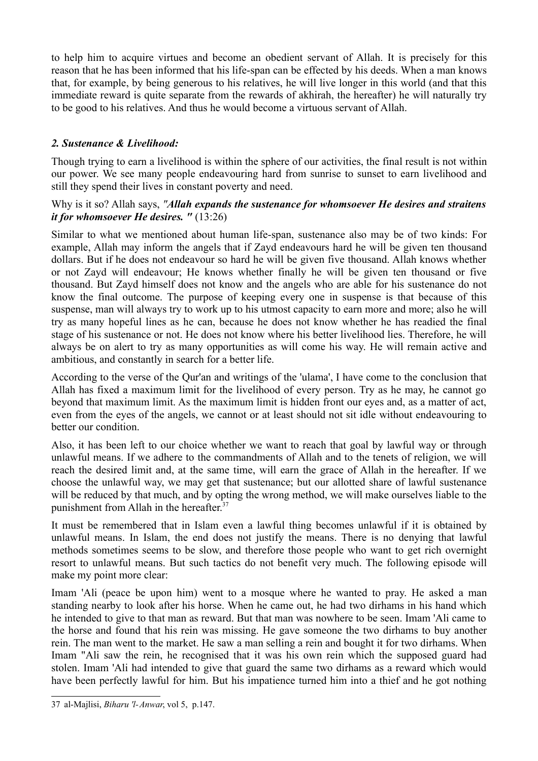to help him to acquire virtues and become an obedient servant of Allah. It is precisely for this reason that he has been informed that his life-span can be effected by his deeds. When a man knows that, for example, by being generous to his relatives, he will live longer in this world (and that this immediate reward is quite separate from the rewards of akhirah, the hereafter) he will naturally try to be good to his relatives. And thus he would become a virtuous servant of Allah.

## *2. Sustenance & Livelihood:*

Though trying to earn a livelihood is within the sphere of our activities, the final result is not within our power. We see many people endeavouring hard from sunrise to sunset to earn livelihood and still they spend their lives in constant poverty and need.

#### Why is it so? Allah says, *"Allah expands the sustenance for whomsoever He desires and straitens it for whomsoever He desires. "* (13:26)

Similar to what we mentioned about human life-span, sustenance also may be of two kinds: For example, Allah may inform the angels that if Zayd endeavours hard he will be given ten thousand dollars. But if he does not endeavour so hard he will be given five thousand. Allah knows whether or not Zayd will endeavour; He knows whether finally he will be given ten thousand or five thousand. But Zayd himself does not know and the angels who are able for his sustenance do not know the final outcome. The purpose of keeping every one in suspense is that because of this suspense, man will always try to work up to his utmost capacity to earn more and more; also he will try as many hopeful lines as he can, because he does not know whether he has readied the final stage of his sustenance or not. He does not know where his better livelihood lies. Therefore, he will always be on alert to try as many opportunities as will come his way. He will remain active and ambitious, and constantly in search for a better life.

According to the verse of the Qur'an and writings of the 'ulama', I have come to the conclusion that Allah has fixed a maximum limit for the livelihood of every person. Try as he may, he cannot go beyond that maximum limit. As the maximum limit is hidden front our eyes and, as a matter of act, even from the eyes of the angels, we cannot or at least should not sit idle without endeavouring to better our condition.

Also, it has been left to our choice whether we want to reach that goal by lawful way or through unlawful means. If we adhere to the commandments of Allah and to the tenets of religion, we will reach the desired limit and, at the same time, will earn the grace of Allah in the hereafter. If we choose the unlawful way, we may get that sustenance; but our allotted share of lawful sustenance will be reduced by that much, and by opting the wrong method, we will make ourselves liable to the punishment from Allah in the hereafter.<sup>[37](#page-42-0)</sup>

It must be remembered that in Islam even a lawful thing becomes unlawful if it is obtained by unlawful means. In Islam, the end does not justify the means. There is no denying that lawful methods sometimes seems to be slow, and therefore those people who want to get rich overnight resort to unlawful means. But such tactics do not benefit very much. The following episode will make my point more clear:

Imam 'Ali (peace be upon him) went to a mosque where he wanted to pray. He asked a man standing nearby to look after his horse. When he came out, he had two dirhams in his hand which he intended to give to that man as reward. But that man was nowhere to be seen. Imam 'Ali came to the horse and found that his rein was missing. He gave someone the two dirhams to buy another rein. The man went to the market. He saw a man selling a rein and bought it for two dirhams. When Imam "Ali saw the rein, he recognised that it was his own rein which the supposed guard had stolen. Imam 'Ali had intended to give that guard the same two dirhams as a reward which would have been perfectly lawful for him. But his impatience turned him into a thief and he got nothing

<span id="page-42-0"></span><sup>37</sup> al-Majlisi, *Biharu 'l-Anwar*, vol 5, p.147.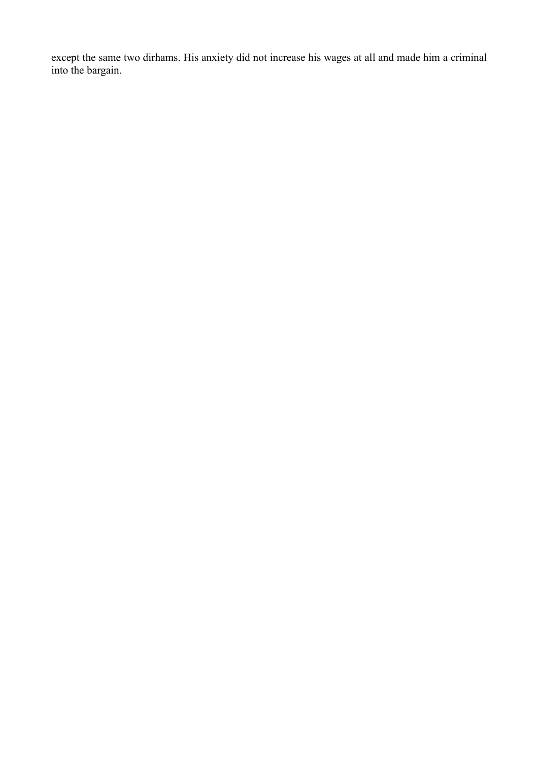except the same two dirhams. His anxiety did not increase his wages at all and made him a criminal into the bargain.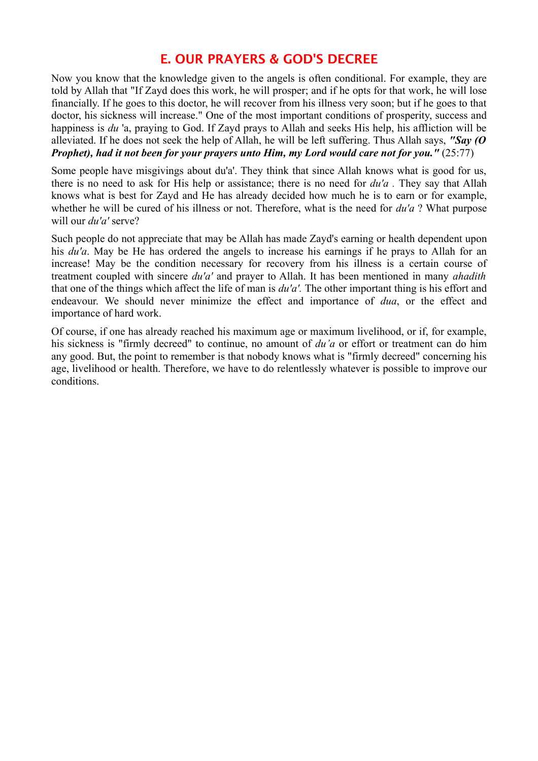## <span id="page-44-0"></span>E. OUR PRAYERS & GOD'S DECREE

Now you know that the knowledge given to the angels is often conditional. For example, they are told by Allah that "If Zayd does this work, he will prosper; and if he opts for that work, he will lose financially. If he goes to this doctor, he will recover from his illness very soon; but if he goes to that doctor, his sickness will increase." One of the most important conditions of prosperity, success and happiness is *du* 'a, praying to God. If Zayd prays to Allah and seeks His help, his affliction will be alleviated. If he does not seek the help of Allah, he will be left suffering. Thus Allah says, *"Say (O Prophet), had it not been for your prayers unto Him, my Lord would care not for you."* (25:77)

Some people have misgivings about du'a'. They think that since Allah knows what is good for us, there is no need to ask for His help or assistance; there is no need for *du'a .* They say that Allah knows what is best for Zayd and He has already decided how much he is to earn or for example, whether he will be cured of his illness or not. Therefore, what is the need for *du'a* ? What purpose will our *du'a'* serve?

Such people do not appreciate that may be Allah has made Zayd's earning or health dependent upon his *du'a*. May be He has ordered the angels to increase his earnings if he prays to Allah for an increase! May be the condition necessary for recovery from his illness is a certain course of treatment coupled with sincere *du'a'* and prayer to Allah. It has been mentioned in many *ahadith* that one of the things which affect the life of man is *du'a'.* The other important thing is his effort and endeavour. We should never minimize the effect and importance of *dua*, or the effect and importance of hard work.

Of course, if one has already reached his maximum age or maximum livelihood, or if, for example, his sickness is "firmly decreed" to continue, no amount of *du'a* or effort or treatment can do him any good. But, the point to remember is that nobody knows what is "firmly decreed" concerning his age, livelihood or health. Therefore, we have to do relentlessly whatever is possible to improve our conditions.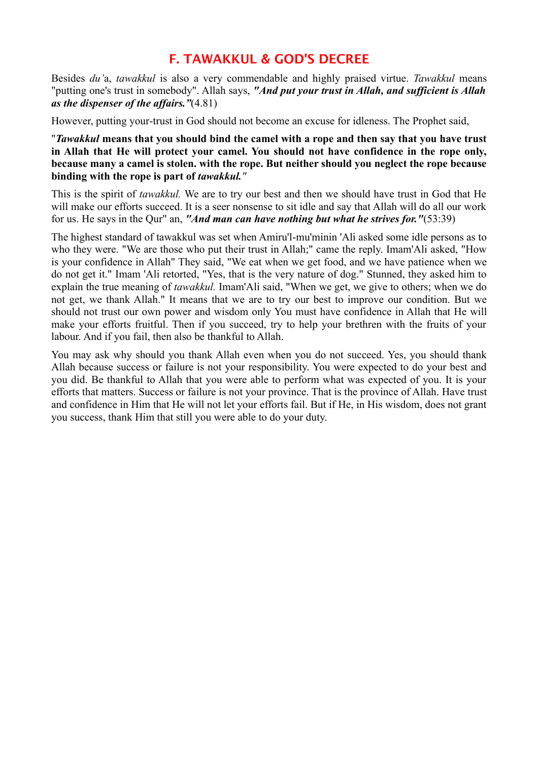## <span id="page-45-0"></span>F. TAWAKKUL & GOD'S DECREE

Besides *du'*a, *tawakkul* is also a very commendable and highly praised virtue. *Tawakkul* means "putting one's trust in somebody". Allah says, *"And put your trust in Allah, and sufficient is Allah as the dispenser of the affairs."*(4.81)

However, putting your-trust in God should not become an excuse for idleness. The Prophet said,

#### "*Tawakkul* **means that you should bind the camel with a rope and then say that you have trust in Allah that He will protect your camel. You should not have confidence in the rope only, because many a camel is stolen. with the rope. But neither should you neglect the rope because binding with the rope is part of** *tawakkul."*

This is the spirit of *tawakkul.* We are to try our best and then we should have trust in God that He will make our efforts succeed. It is a seer nonsense to sit idle and say that Allah will do all our work for us. He says in the Qur" an, *"And man can have nothing but what he strives for."*(53:39)

The highest standard of tawakkul was set when Amiru'l-mu'minin 'Ali asked some idle persons as to who they were. "We are those who put their trust in Allah;" came the reply. Imam'Ali asked, "How is your confidence in Allah" They said, "We eat when we get food, and we have patience when we do not get it." Imam 'Ali retorted, "Yes, that is the very nature of dog." Stunned, they asked him to explain the true meaning of *tawakkul.* Imam'Ali said, "When we get, we give to others; when we do not get, we thank Allah." It means that we are to try our best to improve our condition. But we should not trust our own power and wisdom only You must have confidence in Allah that He will make your efforts fruitful. Then if you succeed, try to help your brethren with the fruits of your labour. And if you fail, then also be thankful to Allah.

You may ask why should you thank Allah even when you do not succeed. Yes, you should thank Allah because success or failure is not your responsibility. You were expected to do your best and you did. Be thankful to Allah that you were able to perform what was expected of you. It is your efforts that matters. Success or failure is not your province. That is the province of Allah. Have trust and confidence in Him that He will not let your efforts fail. But if He, in His wisdom, does not grant you success, thank Him that still you were able to do your duty.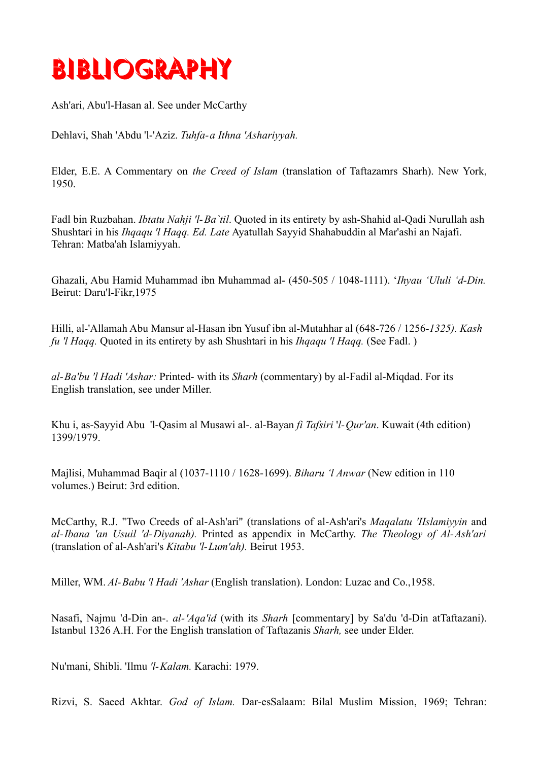# <span id="page-46-0"></span>**BIBLIOGRAPHY**

Ash'ari, Abu'l-Hasan al. See under McCarthy

Dehlavi, Shah 'Abdu 'l-'Aziz. *Tuhfa-a Ithna 'Ashariyyah.*

Elder, E.E. A Commentary on *the Creed of Islam* (translation of Taftazamrs Sharh). New York, 1950.

Fadl bin Ruzbahan. *Ibtatu Nahji 'l-Ba`til*. Quoted in its entirety by ash-Shahid al-Qadi Nurullah ash Shushtari in his *Ihqaqu 'l Haqq. Ed. Late* Ayatullah Sayyid Shahabuddin al Mar'ashi an Najafi. Tehran: Matba'ah Islamiyyah.

Ghazali, Abu Hamid Muhammad ibn Muhammad al- (450-505 / 1048-1111). '*Ihyau 'Ululi 'd-Din.* Beirut: Daru'l-Fikr,1975

Hilli, al-'Allamah Abu Mansur al-Hasan ibn Yusuf ibn al-Mutahhar al (648-726 / 1256-*1325). Kash fu 'l Haqq.* Quoted in its entirety by ash Shushtari in his *Ihqaqu 'l Haqq.* (See Fadl. )

*al-Ba'bu 'l Hadi 'Ashar:* Printed- with its *Sharh* (commentary) by al-Fadil al-Miqdad. For its English translation, see under Miller.

Khu i, as-Sayyid Abu 'l-Qasim al Musawi al-. al-Bayan *fi Tafsiri* '*l-Qur'an*. Kuwait (4th edition) 1399/1979.

Majlisi, Muhammad Baqir al (1037-1110 / 1628-1699). *Biharu 'l Anwar* (New edition in 110 volumes.) Beirut: 3rd edition.

McCarthy, R.J. "Two Creeds of al-Ash'ari" (translations of al-Ash'ari's *Maqalatu 'IIslamiyyin* and *al-Ibana 'an Usuil 'd-Diyanah).* Printed as appendix in McCarthy. *The Theology of Al-Ash'ari* (translation of al-Ash'ari's *Kitabu 'l-Lum'ah).* Beirut 1953.

Miller, WM. *Al-Babu 'l Hadi 'Ashar* (English translation). London: Luzac and Co.,1958.

Nasafi, Najmu 'd-Din an-. *al-'Aqa'id* (with its *Sharh* [commentary] by Sa'du 'd-Din atTaftazani). Istanbul 1326 A.H. For the English translation of Taftazanis *Sharh,* see under Elder.

Nu'mani, Shibli. 'Ilmu *'l-Kalam.* Karachi: 1979.

Rizvi, S. Saeed Akhtar. *God of Islam.* Dar-esSalaam: Bilal Muslim Mission, 1969; Tehran: